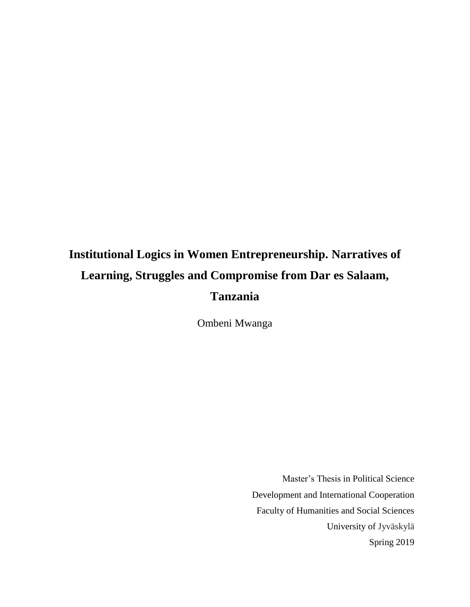# **Institutional Logics in Women Entrepreneurship. Narratives of Learning, Struggles and Compromise from Dar es Salaam, Tanzania**

Ombeni Mwanga

Master's Thesis in Political Science Development and International Cooperation Faculty of Humanities and Social Sciences University of Jyväskylä Spring 2019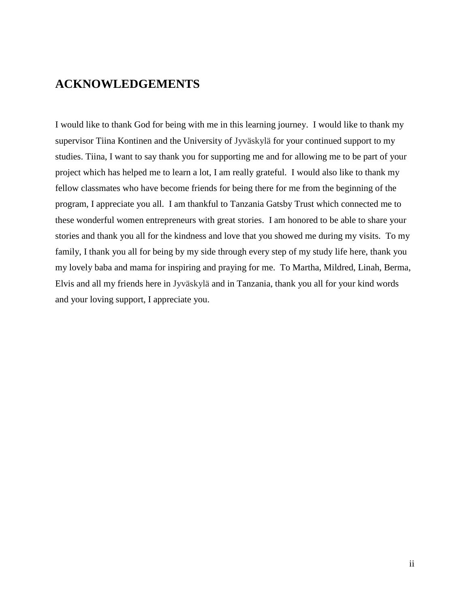## **ACKNOWLEDGEMENTS**

I would like to thank God for being with me in this learning journey. I would like to thank my supervisor Tiina Kontinen and the University of Jyväskylä for your continued support to my studies. Tiina, I want to say thank you for supporting me and for allowing me to be part of your project which has helped me to learn a lot, I am really grateful. I would also like to thank my fellow classmates who have become friends for being there for me from the beginning of the program, I appreciate you all. I am thankful to Tanzania Gatsby Trust which connected me to these wonderful women entrepreneurs with great stories. I am honored to be able to share your stories and thank you all for the kindness and love that you showed me during my visits. To my family, I thank you all for being by my side through every step of my study life here, thank you my lovely baba and mama for inspiring and praying for me. To Martha, Mildred, Linah, Berma, Elvis and all my friends here in Jyväskylä and in Tanzania, thank you all for your kind words and your loving support, I appreciate you.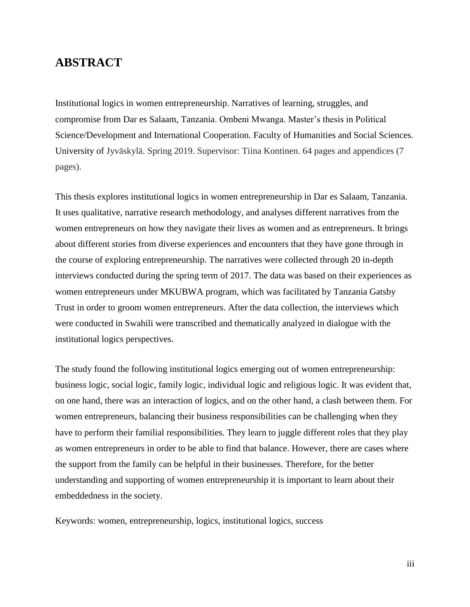## **ABSTRACT**

Institutional logics in women entrepreneurship. Narratives of learning, struggles, and compromise from Dar es Salaam, Tanzania. Ombeni Mwanga. Master's thesis in Political Science/Development and International Cooperation. Faculty of Humanities and Social Sciences. University of Jyväskylä. Spring 2019. Supervisor: Tiina Kontinen. 64 pages and appendices (7 pages).

This thesis explores institutional logics in women entrepreneurship in Dar es Salaam, Tanzania. It uses qualitative, narrative research methodology, and analyses different narratives from the women entrepreneurs on how they navigate their lives as women and as entrepreneurs. It brings about different stories from diverse experiences and encounters that they have gone through in the course of exploring entrepreneurship. The narratives were collected through 20 in-depth interviews conducted during the spring term of 2017. The data was based on their experiences as women entrepreneurs under MKUBWA program, which was facilitated by Tanzania Gatsby Trust in order to groom women entrepreneurs. After the data collection, the interviews which were conducted in Swahili were transcribed and thematically analyzed in dialogue with the institutional logics perspectives.

The study found the following institutional logics emerging out of women entrepreneurship: business logic, social logic, family logic, individual logic and religious logic. It was evident that, on one hand, there was an interaction of logics, and on the other hand, a clash between them. For women entrepreneurs, balancing their business responsibilities can be challenging when they have to perform their familial responsibilities. They learn to juggle different roles that they play as women entrepreneurs in order to be able to find that balance. However, there are cases where the support from the family can be helpful in their businesses. Therefore, for the better understanding and supporting of women entrepreneurship it is important to learn about their embeddedness in the society.

Keywords: women, entrepreneurship, logics, institutional logics, success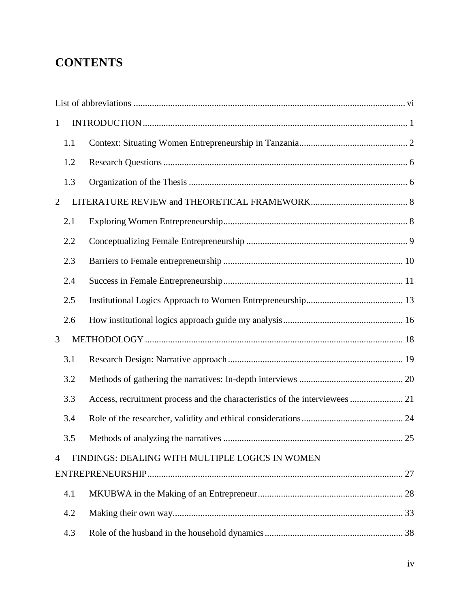## **CONTENTS**

| $\mathbf{1}$   |                                                 |    |  |
|----------------|-------------------------------------------------|----|--|
| 1.1            |                                                 |    |  |
| 1.2            |                                                 |    |  |
| 1.3            |                                                 |    |  |
| $\overline{2}$ |                                                 |    |  |
| 2.1            |                                                 |    |  |
| 2.2            |                                                 |    |  |
| 2.3            |                                                 |    |  |
| 2.4            |                                                 |    |  |
| 2.5            |                                                 |    |  |
| 2.6            |                                                 |    |  |
| 3              |                                                 |    |  |
| 3.1            |                                                 |    |  |
| 3.2            |                                                 |    |  |
| 3.3            |                                                 |    |  |
| 3.4            |                                                 |    |  |
| 3.5            |                                                 | 25 |  |
| $\overline{4}$ | FINDINGS: DEALING WITH MULTIPLE LOGICS IN WOMEN |    |  |
|                |                                                 |    |  |
| 4.1            |                                                 |    |  |
| 4.2            |                                                 |    |  |
| 4.3            |                                                 |    |  |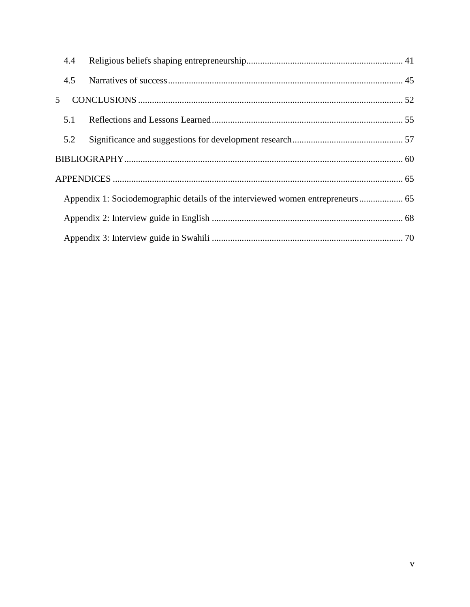|                                                                                | 4.4 |  |  |
|--------------------------------------------------------------------------------|-----|--|--|
|                                                                                | 4.5 |  |  |
| 5                                                                              |     |  |  |
|                                                                                | 5.1 |  |  |
|                                                                                | 5.2 |  |  |
|                                                                                |     |  |  |
|                                                                                |     |  |  |
| Appendix 1: Sociodemographic details of the interviewed women entrepreneurs 65 |     |  |  |
|                                                                                |     |  |  |
|                                                                                |     |  |  |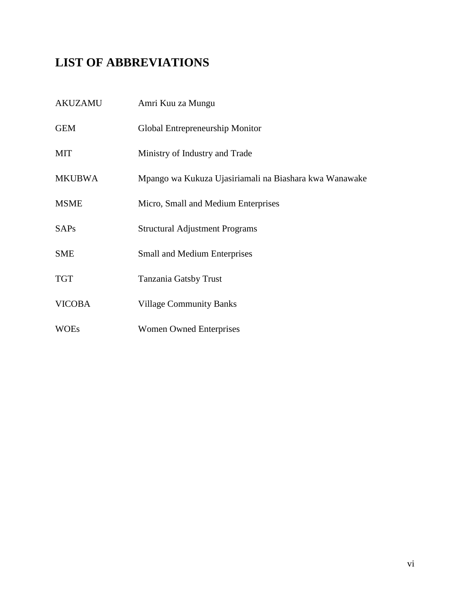## <span id="page-5-0"></span>**LIST OF ABBREVIATIONS**

| AKUZAMU       | Amri Kuu za Mungu                                      |
|---------------|--------------------------------------------------------|
| <b>GEM</b>    | Global Entrepreneurship Monitor                        |
| <b>MIT</b>    | Ministry of Industry and Trade                         |
| <b>MKUBWA</b> | Mpango wa Kukuza Ujasiriamali na Biashara kwa Wanawake |
| <b>MSME</b>   | Micro, Small and Medium Enterprises                    |
| <b>SAPs</b>   | <b>Structural Adjustment Programs</b>                  |
| <b>SME</b>    | <b>Small and Medium Enterprises</b>                    |
| <b>TGT</b>    | Tanzania Gatsby Trust                                  |
| <b>VICOBA</b> | <b>Village Community Banks</b>                         |
| <b>WOEs</b>   | <b>Women Owned Enterprises</b>                         |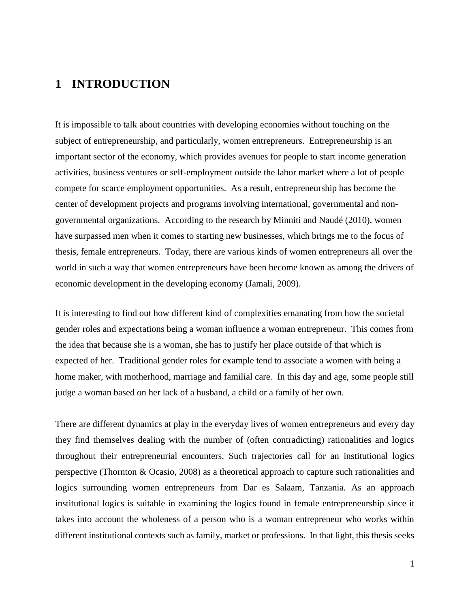## <span id="page-6-0"></span>**1 INTRODUCTION**

It is impossible to talk about countries with developing economies without touching on the subject of entrepreneurship, and particularly, women entrepreneurs. Entrepreneurship is an important sector of the economy, which provides avenues for people to start income generation activities, business ventures or self-employment outside the labor market where a lot of people compete for scarce employment opportunities. As a result, entrepreneurship has become the center of development projects and programs involving international, governmental and nongovernmental organizations. According to the research by Minniti and Naudé (2010), women have surpassed men when it comes to starting new businesses, which brings me to the focus of thesis, female entrepreneurs. Today, there are various kinds of women entrepreneurs all over the world in such a way that women entrepreneurs have been become known as among the drivers of economic development in the developing economy (Jamali, 2009).

It is interesting to find out how different kind of complexities emanating from how the societal gender roles and expectations being a woman influence a woman entrepreneur. This comes from the idea that because she is a woman, she has to justify her place outside of that which is expected of her. Traditional gender roles for example tend to associate a women with being a home maker, with motherhood, marriage and familial care. In this day and age, some people still judge a woman based on her lack of a husband, a child or a family of her own.

There are different dynamics at play in the everyday lives of women entrepreneurs and every day they find themselves dealing with the number of (often contradicting) rationalities and logics throughout their entrepreneurial encounters. Such trajectories call for an institutional logics perspective (Thornton & Ocasio, 2008) as a theoretical approach to capture such rationalities and logics surrounding women entrepreneurs from Dar es Salaam, Tanzania. As an approach institutional logics is suitable in examining the logics found in female entrepreneurship since it takes into account the wholeness of a person who is a woman entrepreneur who works within different institutional contexts such as family, market or professions. In that light, this thesis seeks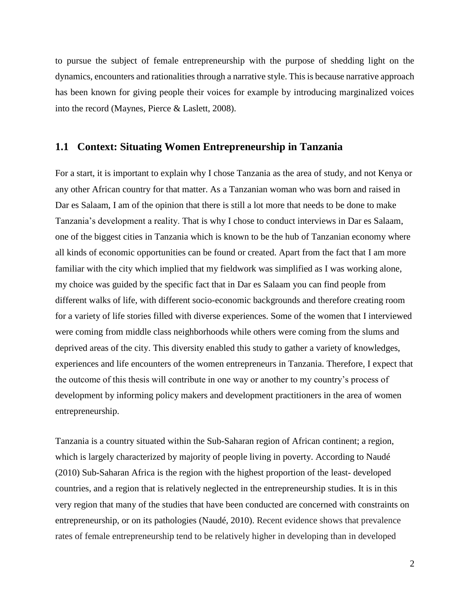to pursue the subject of female entrepreneurship with the purpose of shedding light on the dynamics, encounters and rationalities through a narrative style. This is because narrative approach has been known for giving people their voices for example by introducing marginalized voices into the record (Maynes, Pierce & Laslett, 2008).

#### <span id="page-7-0"></span>**1.1 Context: Situating Women Entrepreneurship in Tanzania**

For a start, it is important to explain why I chose Tanzania as the area of study, and not Kenya or any other African country for that matter. As a Tanzanian woman who was born and raised in Dar es Salaam, I am of the opinion that there is still a lot more that needs to be done to make Tanzania's development a reality. That is why I chose to conduct interviews in Dar es Salaam, one of the biggest cities in Tanzania which is known to be the hub of Tanzanian economy where all kinds of economic opportunities can be found or created. Apart from the fact that I am more familiar with the city which implied that my fieldwork was simplified as I was working alone, my choice was guided by the specific fact that in Dar es Salaam you can find people from different walks of life, with different socio-economic backgrounds and therefore creating room for a variety of life stories filled with diverse experiences. Some of the women that I interviewed were coming from middle class neighborhoods while others were coming from the slums and deprived areas of the city. This diversity enabled this study to gather a variety of knowledges, experiences and life encounters of the women entrepreneurs in Tanzania. Therefore, I expect that the outcome of this thesis will contribute in one way or another to my country's process of development by informing policy makers and development practitioners in the area of women entrepreneurship.

Tanzania is a country situated within the Sub-Saharan region of African continent; a region, which is largely characterized by majority of people living in poverty. According to Naudé (2010) Sub-Saharan Africa is the region with the highest proportion of the least- developed countries, and a region that is relatively neglected in the entrepreneurship studies. It is in this very region that many of the studies that have been conducted are concerned with constraints on entrepreneurship, or on its pathologies (Naudé, 2010). Recent evidence shows that prevalence rates of female entrepreneurship tend to be relatively higher in developing than in developed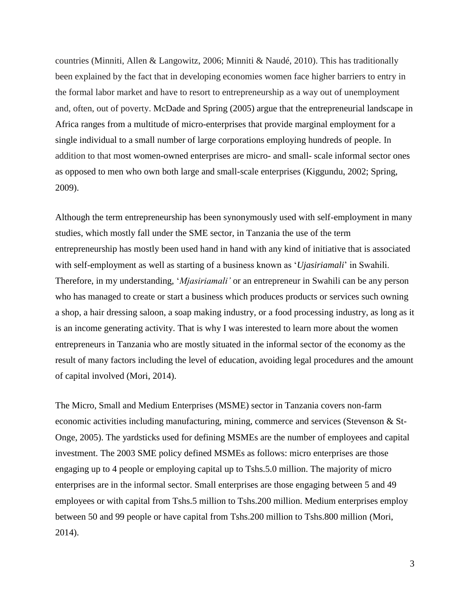countries (Minniti, Allen & Langowitz, 2006; Minniti & Naudé, 2010). This has traditionally been explained by the fact that in developing economies women face higher barriers to entry in the formal labor market and have to resort to entrepreneurship as a way out of unemployment and, often, out of poverty. McDade and Spring (2005) argue that the entrepreneurial landscape in Africa ranges from a multitude of micro-enterprises that provide marginal employment for a single individual to a small number of large corporations employing hundreds of people. In addition to that most women-owned enterprises are micro- and small- scale informal sector ones as opposed to men who own both large and small-scale enterprises (Kiggundu, 2002; Spring, 2009).

Although the term entrepreneurship has been synonymously used with self-employment in many studies, which mostly fall under the SME sector, in Tanzania the use of the term entrepreneurship has mostly been used hand in hand with any kind of initiative that is associated with self-employment as well as starting of a business known as '*Ujasiriamali*' in Swahili. Therefore, in my understanding, '*Mjasiriamali'* or an entrepreneur in Swahili can be any person who has managed to create or start a business which produces products or services such owning a shop, a hair dressing saloon, a soap making industry, or a food processing industry, as long as it is an income generating activity. That is why I was interested to learn more about the women entrepreneurs in Tanzania who are mostly situated in the informal sector of the economy as the result of many factors including the level of education, avoiding legal procedures and the amount of capital involved (Mori, 2014).

The Micro, Small and Medium Enterprises (MSME) sector in Tanzania covers non-farm economic activities including manufacturing, mining, commerce and services (Stevenson & St-Onge, 2005). The yardsticks used for defining MSMEs are the number of employees and capital investment. The 2003 SME policy defined MSMEs as follows: micro enterprises are those engaging up to 4 people or employing capital up to Tshs.5.0 million. The majority of micro enterprises are in the informal sector. Small enterprises are those engaging between 5 and 49 employees or with capital from Tshs.5 million to Tshs.200 million. Medium enterprises employ between 50 and 99 people or have capital from Tshs.200 million to Tshs.800 million (Mori, 2014).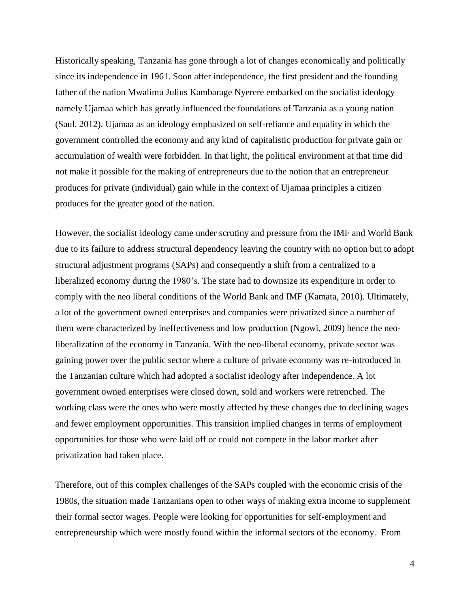Historically speaking, Tanzania has gone through a lot of changes economically and politically since its independence in 1961. Soon after independence, the first president and the founding father of the nation Mwalimu Julius Kambarage Nyerere embarked on the socialist ideology namely Ujamaa which has greatly influenced the foundations of Tanzania as a young nation (Saul, 2012). Ujamaa as an ideology emphasized on self-reliance and equality in which the government controlled the economy and any kind of capitalistic production for private gain or accumulation of wealth were forbidden. In that light, the political environment at that time did not make it possible for the making of entrepreneurs due to the notion that an entrepreneur produces for private (individual) gain while in the context of Ujamaa principles a citizen produces for the greater good of the nation.

However, the socialist ideology came under scrutiny and pressure from the IMF and World Bank due to its failure to address structural dependency leaving the country with no option but to adopt structural adjustment programs (SAPs) and consequently a shift from a centralized to a liberalized economy during the 1980's. The state had to downsize its expenditure in order to comply with the neo liberal conditions of the World Bank and IMF (Kamata, 2010). Ultimately, a lot of the government owned enterprises and companies were privatized since a number of them were characterized by ineffectiveness and low production (Ngowi, 2009) hence the neoliberalization of the economy in Tanzania. With the neo-liberal economy, private sector was gaining power over the public sector where a culture of private economy was re-introduced in the Tanzanian culture which had adopted a socialist ideology after independence. A lot government owned enterprises were closed down, sold and workers were retrenched. The working class were the ones who were mostly affected by these changes due to declining wages and fewer employment opportunities. This transition implied changes in terms of employment opportunities for those who were laid off or could not compete in the labor market after privatization had taken place.

Therefore, out of this complex challenges of the SAPs coupled with the economic crisis of the 1980s, the situation made Tanzanians open to other ways of making extra income to supplement their formal sector wages. People were looking for opportunities for self-employment and entrepreneurship which were mostly found within the informal sectors of the economy. From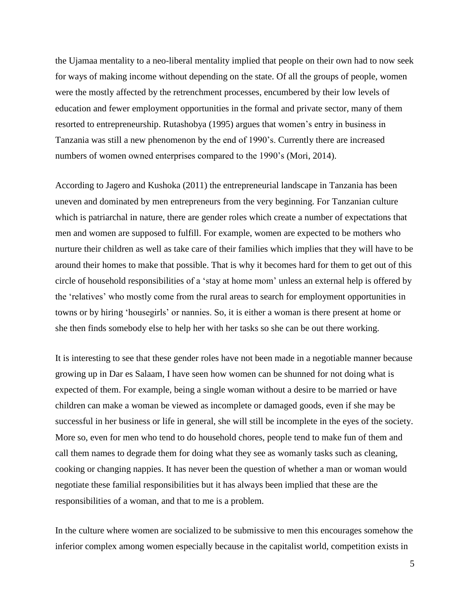the Ujamaa mentality to a neo-liberal mentality implied that people on their own had to now seek for ways of making income without depending on the state. Of all the groups of people, women were the mostly affected by the retrenchment processes, encumbered by their low levels of education and fewer employment opportunities in the formal and private sector, many of them resorted to entrepreneurship. Rutashobya (1995) argues that women's entry in business in Tanzania was still a new phenomenon by the end of 1990's. Currently there are increased numbers of women owned enterprises compared to the 1990's (Mori, 2014).

According to Jagero and Kushoka (2011) the entrepreneurial landscape in Tanzania has been uneven and dominated by men entrepreneurs from the very beginning. For Tanzanian culture which is patriarchal in nature, there are gender roles which create a number of expectations that men and women are supposed to fulfill. For example, women are expected to be mothers who nurture their children as well as take care of their families which implies that they will have to be around their homes to make that possible. That is why it becomes hard for them to get out of this circle of household responsibilities of a 'stay at home mom' unless an external help is offered by the 'relatives' who mostly come from the rural areas to search for employment opportunities in towns or by hiring 'housegirls' or nannies. So, it is either a woman is there present at home or she then finds somebody else to help her with her tasks so she can be out there working.

It is interesting to see that these gender roles have not been made in a negotiable manner because growing up in Dar es Salaam, I have seen how women can be shunned for not doing what is expected of them. For example, being a single woman without a desire to be married or have children can make a woman be viewed as incomplete or damaged goods, even if she may be successful in her business or life in general, she will still be incomplete in the eyes of the society. More so, even for men who tend to do household chores, people tend to make fun of them and call them names to degrade them for doing what they see as womanly tasks such as cleaning, cooking or changing nappies. It has never been the question of whether a man or woman would negotiate these familial responsibilities but it has always been implied that these are the responsibilities of a woman, and that to me is a problem.

In the culture where women are socialized to be submissive to men this encourages somehow the inferior complex among women especially because in the capitalist world, competition exists in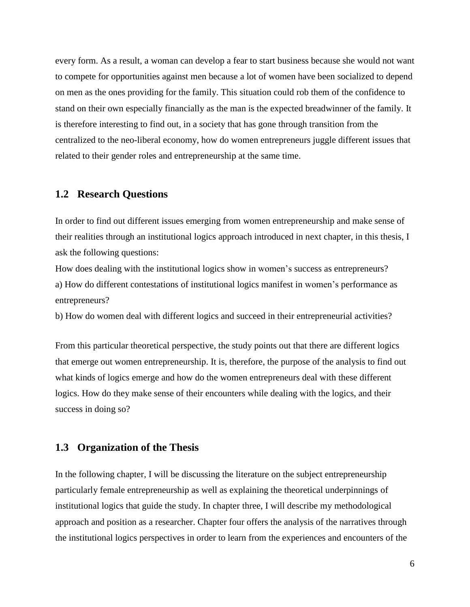every form. As a result, a woman can develop a fear to start business because she would not want to compete for opportunities against men because a lot of women have been socialized to depend on men as the ones providing for the family. This situation could rob them of the confidence to stand on their own especially financially as the man is the expected breadwinner of the family. It is therefore interesting to find out, in a society that has gone through transition from the centralized to the neo-liberal economy, how do women entrepreneurs juggle different issues that related to their gender roles and entrepreneurship at the same time.

#### <span id="page-11-0"></span>**1.2 Research Questions**

In order to find out different issues emerging from women entrepreneurship and make sense of their realities through an institutional logics approach introduced in next chapter, in this thesis, I ask the following questions:

How does dealing with the institutional logics show in women's success as entrepreneurs? a) How do different contestations of institutional logics manifest in women's performance as entrepreneurs?

b) How do women deal with different logics and succeed in their entrepreneurial activities?

From this particular theoretical perspective, the study points out that there are different logics that emerge out women entrepreneurship. It is, therefore, the purpose of the analysis to find out what kinds of logics emerge and how do the women entrepreneurs deal with these different logics. How do they make sense of their encounters while dealing with the logics, and their success in doing so?

#### <span id="page-11-1"></span>**1.3 Organization of the Thesis**

In the following chapter, I will be discussing the literature on the subject entrepreneurship particularly female entrepreneurship as well as explaining the theoretical underpinnings of institutional logics that guide the study. In chapter three, I will describe my methodological approach and position as a researcher. Chapter four offers the analysis of the narratives through the institutional logics perspectives in order to learn from the experiences and encounters of the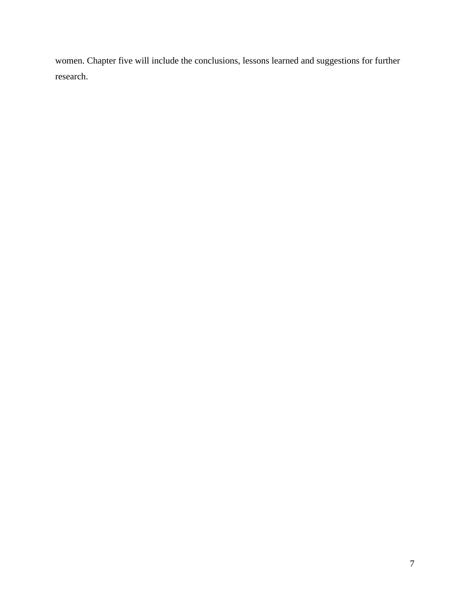women. Chapter five will include the conclusions, lessons learned and suggestions for further research.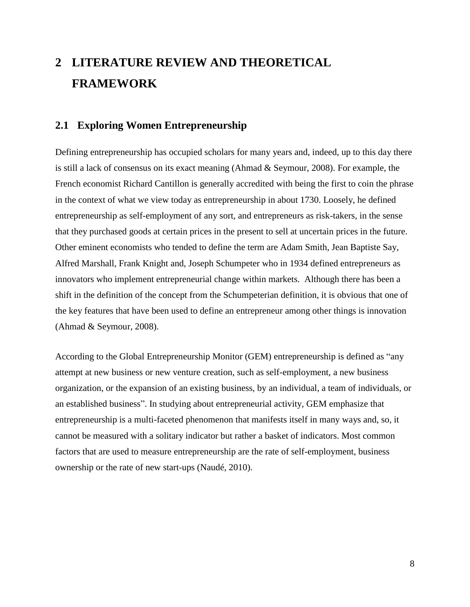## <span id="page-13-0"></span>**2 LITERATURE REVIEW AND THEORETICAL FRAMEWORK**

### <span id="page-13-1"></span>**2.1 Exploring Women Entrepreneurship**

Defining entrepreneurship has occupied scholars for many years and, indeed, up to this day there is still a lack of consensus on its exact meaning (Ahmad & Seymour, 2008). For example, the French economist Richard Cantillon is generally accredited with being the first to coin the phrase in the context of what we view today as entrepreneurship in about 1730. Loosely, he defined entrepreneurship as self-employment of any sort, and entrepreneurs as risk-takers, in the sense that they purchased goods at certain prices in the present to sell at uncertain prices in the future. Other eminent economists who tended to define the term are Adam Smith, Jean Baptiste Say, Alfred Marshall, Frank Knight and, Joseph Schumpeter who in 1934 defined entrepreneurs as innovators who implement entrepreneurial change within markets. Although there has been a shift in the definition of the concept from the Schumpeterian definition, it is obvious that one of the key features that have been used to define an entrepreneur among other things is innovation (Ahmad & Seymour, 2008).

According to the Global Entrepreneurship Monitor (GEM) entrepreneurship is defined as "any attempt at new business or new venture creation, such as self-employment, a new business organization, or the expansion of an existing business, by an individual, a team of individuals, or an established business". In studying about entrepreneurial activity, GEM emphasize that entrepreneurship is a multi-faceted phenomenon that manifests itself in many ways and, so, it cannot be measured with a solitary indicator but rather a basket of indicators. Most common factors that are used to measure entrepreneurship are the rate of self-employment, business ownership or the rate of new start-ups (Naudé, 2010).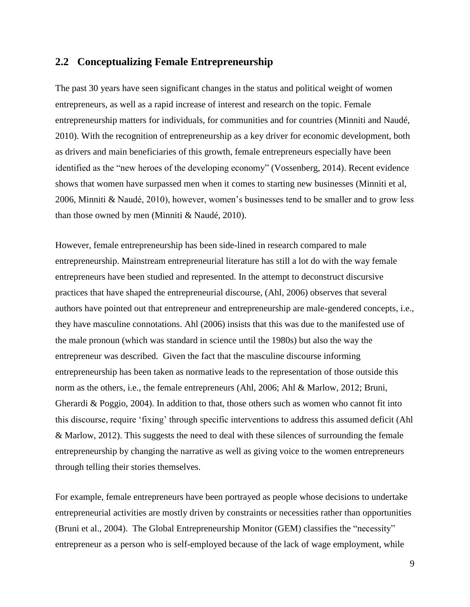#### <span id="page-14-0"></span>**2.2 Conceptualizing Female Entrepreneurship**

The past 30 years have seen significant changes in the status and political weight of women entrepreneurs, as well as a rapid increase of interest and research on the topic. Female entrepreneurship matters for individuals, for communities and for countries (Minniti and Naudé, 2010). With the recognition of entrepreneurship as a key driver for economic development, both as drivers and main beneficiaries of this growth, female entrepreneurs especially have been identified as the "new heroes of the developing economy" (Vossenberg, 2014). Recent evidence shows that women have surpassed men when it comes to starting new businesses (Minniti et al, 2006, Minniti & Naudé, 2010), however, women's businesses tend to be smaller and to grow less than those owned by men (Minniti & Naudé, 2010).

However, female entrepreneurship has been side-lined in research compared to male entrepreneurship. Mainstream entrepreneurial literature has still a lot do with the way female entrepreneurs have been studied and represented. In the attempt to deconstruct discursive practices that have shaped the entrepreneurial discourse, (Ahl, 2006) observes that several authors have pointed out that entrepreneur and entrepreneurship are male-gendered concepts, i.e., they have masculine connotations. Ahl (2006) insists that this was due to the manifested use of the male pronoun (which was standard in science until the 1980s) but also the way the entrepreneur was described. Given the fact that the masculine discourse informing entrepreneurship has been taken as normative leads to the representation of those outside this norm as the others, i.e., the female entrepreneurs (Ahl, 2006; Ahl & Marlow, 2012; Bruni, Gherardi & Poggio, 2004). In addition to that, those others such as women who cannot fit into this discourse, require 'fixing' through specific interventions to address this assumed deficit (Ahl & Marlow, 2012). This suggests the need to deal with these silences of surrounding the female entrepreneurship by changing the narrative as well as giving voice to the women entrepreneurs through telling their stories themselves.

For example, female entrepreneurs have been portrayed as people whose decisions to undertake entrepreneurial activities are mostly driven by constraints or necessities rather than opportunities (Bruni et al., 2004). The Global Entrepreneurship Monitor (GEM) classifies the "necessity" entrepreneur as a person who is self-employed because of the lack of wage employment, while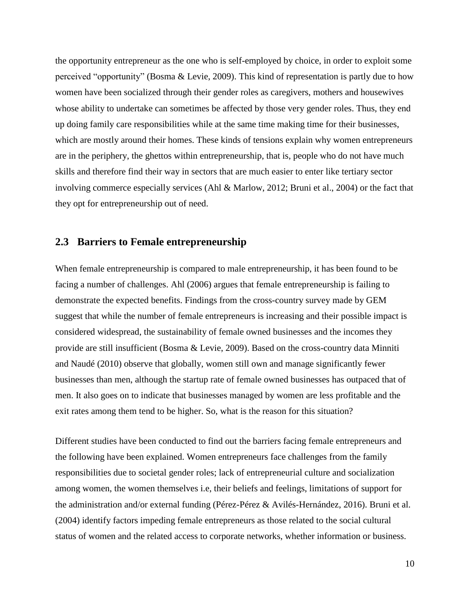the opportunity entrepreneur as the one who is self-employed by choice, in order to exploit some perceived "opportunity" (Bosma & Levie, 2009). This kind of representation is partly due to how women have been socialized through their gender roles as caregivers, mothers and housewives whose ability to undertake can sometimes be affected by those very gender roles. Thus, they end up doing family care responsibilities while at the same time making time for their businesses, which are mostly around their homes. These kinds of tensions explain why women entrepreneurs are in the periphery, the ghettos within entrepreneurship, that is, people who do not have much skills and therefore find their way in sectors that are much easier to enter like tertiary sector involving commerce especially services (Ahl & Marlow, 2012; Bruni et al., 2004) or the fact that they opt for entrepreneurship out of need.

#### <span id="page-15-0"></span>**2.3 Barriers to Female entrepreneurship**

When female entrepreneurship is compared to male entrepreneurship, it has been found to be facing a number of challenges. Ahl (2006) argues that female entrepreneurship is failing to demonstrate the expected benefits. Findings from the cross-country survey made by GEM suggest that while the number of female entrepreneurs is increasing and their possible impact is considered widespread, the sustainability of female owned businesses and the incomes they provide are still insufficient (Bosma & Levie, 2009). Based on the cross-country data Minniti and Naudé (2010) observe that globally, women still own and manage significantly fewer businesses than men, although the startup rate of female owned businesses has outpaced that of men. It also goes on to indicate that businesses managed by women are less profitable and the exit rates among them tend to be higher. So, what is the reason for this situation?

Different studies have been conducted to find out the barriers facing female entrepreneurs and the following have been explained. Women entrepreneurs face challenges from the family responsibilities due to societal gender roles; lack of entrepreneurial culture and socialization among women, the women themselves i.e, their beliefs and feelings, limitations of support for the administration and/or external funding (Pérez-Pérez & Avilés-Hernández, 2016). Bruni et al. (2004) identify factors impeding female entrepreneurs as those related to the social cultural status of women and the related access to corporate networks, whether information or business.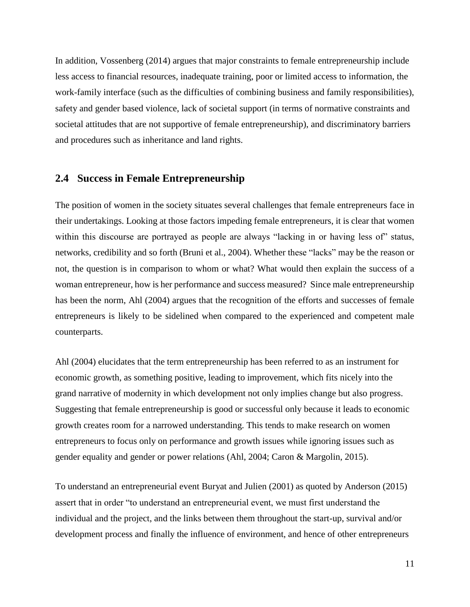In addition, Vossenberg (2014) argues that major constraints to female entrepreneurship include less access to financial resources, inadequate training, poor or limited access to information, the work-family interface (such as the difficulties of combining business and family responsibilities), safety and gender based violence, lack of societal support (in terms of normative constraints and societal attitudes that are not supportive of female entrepreneurship), and discriminatory barriers and procedures such as inheritance and land rights.

#### <span id="page-16-0"></span>**2.4 Success in Female Entrepreneurship**

The position of women in the society situates several challenges that female entrepreneurs face in their undertakings. Looking at those factors impeding female entrepreneurs, it is clear that women within this discourse are portrayed as people are always "lacking in or having less of" status, networks, credibility and so forth (Bruni et al., 2004). Whether these "lacks" may be the reason or not, the question is in comparison to whom or what? What would then explain the success of a woman entrepreneur, how is her performance and success measured? Since male entrepreneurship has been the norm, Ahl (2004) argues that the recognition of the efforts and successes of female entrepreneurs is likely to be sidelined when compared to the experienced and competent male counterparts.

Ahl (2004) elucidates that the term entrepreneurship has been referred to as an instrument for economic growth, as something positive, leading to improvement, which fits nicely into the grand narrative of modernity in which development not only implies change but also progress. Suggesting that female entrepreneurship is good or successful only because it leads to economic growth creates room for a narrowed understanding. This tends to make research on women entrepreneurs to focus only on performance and growth issues while ignoring issues such as gender equality and gender or power relations (Ahl, 2004; Caron & Margolin, 2015).

To understand an entrepreneurial event Buryat and Julien (2001) as quoted by Anderson (2015) assert that in order "to understand an entrepreneurial event, we must first understand the individual and the project, and the links between them throughout the start-up, survival and/or development process and finally the influence of environment, and hence of other entrepreneurs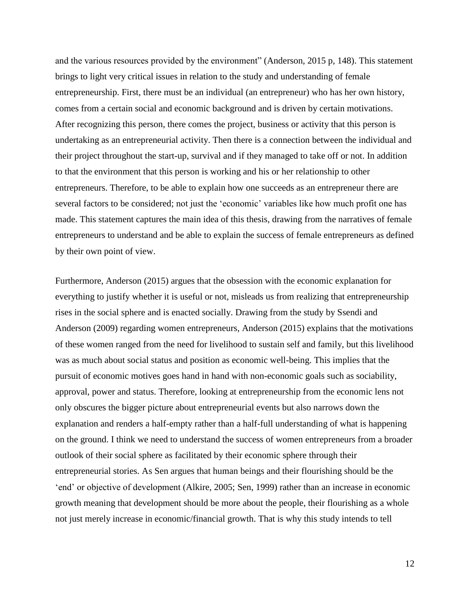and the various resources provided by the environment" (Anderson, 2015 p, 148). This statement brings to light very critical issues in relation to the study and understanding of female entrepreneurship. First, there must be an individual (an entrepreneur) who has her own history, comes from a certain social and economic background and is driven by certain motivations. After recognizing this person, there comes the project, business or activity that this person is undertaking as an entrepreneurial activity. Then there is a connection between the individual and their project throughout the start-up, survival and if they managed to take off or not. In addition to that the environment that this person is working and his or her relationship to other entrepreneurs. Therefore, to be able to explain how one succeeds as an entrepreneur there are several factors to be considered; not just the 'economic' variables like how much profit one has made. This statement captures the main idea of this thesis, drawing from the narratives of female entrepreneurs to understand and be able to explain the success of female entrepreneurs as defined by their own point of view.

Furthermore, Anderson (2015) argues that the obsession with the economic explanation for everything to justify whether it is useful or not, misleads us from realizing that entrepreneurship rises in the social sphere and is enacted socially. Drawing from the study by Ssendi and Anderson (2009) regarding women entrepreneurs, Anderson (2015) explains that the motivations of these women ranged from the need for livelihood to sustain self and family, but this livelihood was as much about social status and position as economic well-being. This implies that the pursuit of economic motives goes hand in hand with non-economic goals such as sociability, approval, power and status. Therefore, looking at entrepreneurship from the economic lens not only obscures the bigger picture about entrepreneurial events but also narrows down the explanation and renders a half-empty rather than a half-full understanding of what is happening on the ground. I think we need to understand the success of women entrepreneurs from a broader outlook of their social sphere as facilitated by their economic sphere through their entrepreneurial stories. As Sen argues that human beings and their flourishing should be the 'end' or objective of development (Alkire, 2005; Sen, 1999) rather than an increase in economic growth meaning that development should be more about the people, their flourishing as a whole not just merely increase in economic/financial growth. That is why this study intends to tell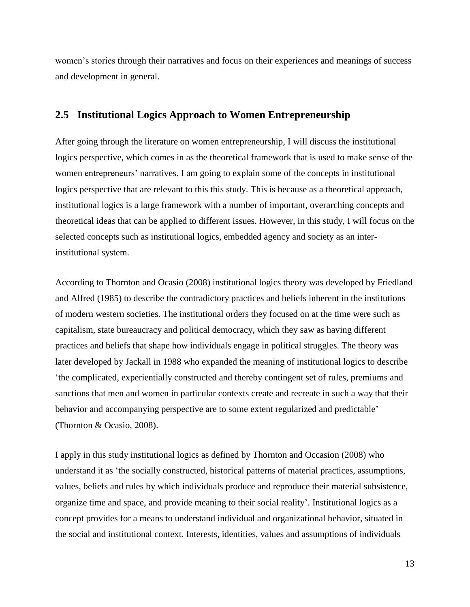women's stories through their narratives and focus on their experiences and meanings of success and development in general.

### <span id="page-18-0"></span>**2.5 Institutional Logics Approach to Women Entrepreneurship**

After going through the literature on women entrepreneurship, I will discuss the institutional logics perspective, which comes in as the theoretical framework that is used to make sense of the women entrepreneurs' narratives. I am going to explain some of the concepts in institutional logics perspective that are relevant to this this study. This is because as a theoretical approach, institutional logics is a large framework with a number of important, overarching concepts and theoretical ideas that can be applied to different issues. However, in this study, I will focus on the selected concepts such as institutional logics, embedded agency and society as an interinstitutional system.

According to Thornton and Ocasio (2008) institutional logics theory was developed by Friedland and Alfred (1985) to describe the contradictory practices and beliefs inherent in the institutions of modern western societies. The institutional orders they focused on at the time were such as capitalism, state bureaucracy and political democracy, which they saw as having different practices and beliefs that shape how individuals engage in political struggles. The theory was later developed by Jackall in 1988 who expanded the meaning of institutional logics to describe 'the complicated, experientially constructed and thereby contingent set of rules, premiums and sanctions that men and women in particular contexts create and recreate in such a way that their behavior and accompanying perspective are to some extent regularized and predictable' (Thornton & Ocasio, 2008).

I apply in this study institutional logics as defined by Thornton and Occasion (2008) who understand it as 'the socially constructed, historical patterns of material practices, assumptions, values, beliefs and rules by which individuals produce and reproduce their material subsistence, organize time and space, and provide meaning to their social reality'. Institutional logics as a concept provides for a means to understand individual and organizational behavior, situated in the social and institutional context. Interests, identities, values and assumptions of individuals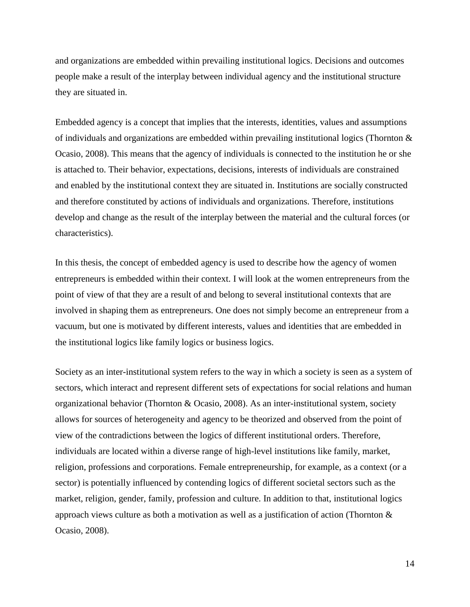and organizations are embedded within prevailing institutional logics. Decisions and outcomes people make a result of the interplay between individual agency and the institutional structure they are situated in.

Embedded agency is a concept that implies that the interests, identities, values and assumptions of individuals and organizations are embedded within prevailing institutional logics (Thornton  $\&$ Ocasio, 2008). This means that the agency of individuals is connected to the institution he or she is attached to. Their behavior, expectations, decisions, interests of individuals are constrained and enabled by the institutional context they are situated in. Institutions are socially constructed and therefore constituted by actions of individuals and organizations. Therefore, institutions develop and change as the result of the interplay between the material and the cultural forces (or characteristics).

In this thesis, the concept of embedded agency is used to describe how the agency of women entrepreneurs is embedded within their context. I will look at the women entrepreneurs from the point of view of that they are a result of and belong to several institutional contexts that are involved in shaping them as entrepreneurs. One does not simply become an entrepreneur from a vacuum, but one is motivated by different interests, values and identities that are embedded in the institutional logics like family logics or business logics.

Society as an inter-institutional system refers to the way in which a society is seen as a system of sectors, which interact and represent different sets of expectations for social relations and human organizational behavior (Thornton & Ocasio, 2008). As an inter-institutional system, society allows for sources of heterogeneity and agency to be theorized and observed from the point of view of the contradictions between the logics of different institutional orders. Therefore, individuals are located within a diverse range of high-level institutions like family, market, religion, professions and corporations. Female entrepreneurship, for example, as a context (or a sector) is potentially influenced by contending logics of different societal sectors such as the market, religion, gender, family, profession and culture. In addition to that, institutional logics approach views culture as both a motivation as well as a justification of action (Thornton  $\&$ Ocasio, 2008).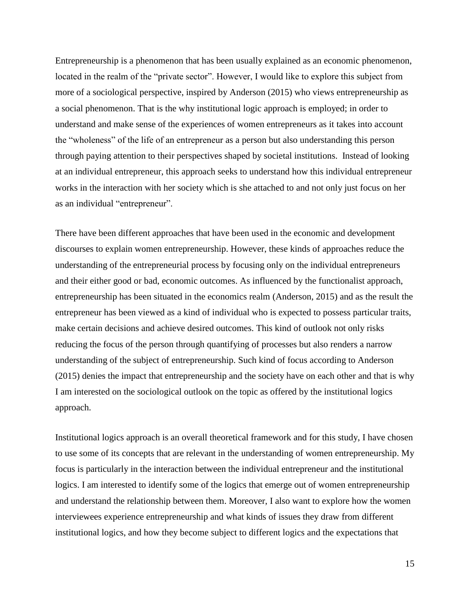Entrepreneurship is a phenomenon that has been usually explained as an economic phenomenon, located in the realm of the "private sector". However, I would like to explore this subject from more of a sociological perspective, inspired by Anderson (2015) who views entrepreneurship as a social phenomenon. That is the why institutional logic approach is employed; in order to understand and make sense of the experiences of women entrepreneurs as it takes into account the "wholeness" of the life of an entrepreneur as a person but also understanding this person through paying attention to their perspectives shaped by societal institutions. Instead of looking at an individual entrepreneur, this approach seeks to understand how this individual entrepreneur works in the interaction with her society which is she attached to and not only just focus on her as an individual "entrepreneur".

There have been different approaches that have been used in the economic and development discourses to explain women entrepreneurship. However, these kinds of approaches reduce the understanding of the entrepreneurial process by focusing only on the individual entrepreneurs and their either good or bad, economic outcomes. As influenced by the functionalist approach, entrepreneurship has been situated in the economics realm (Anderson, 2015) and as the result the entrepreneur has been viewed as a kind of individual who is expected to possess particular traits, make certain decisions and achieve desired outcomes. This kind of outlook not only risks reducing the focus of the person through quantifying of processes but also renders a narrow understanding of the subject of entrepreneurship. Such kind of focus according to Anderson (2015) denies the impact that entrepreneurship and the society have on each other and that is why I am interested on the sociological outlook on the topic as offered by the institutional logics approach.

Institutional logics approach is an overall theoretical framework and for this study, I have chosen to use some of its concepts that are relevant in the understanding of women entrepreneurship. My focus is particularly in the interaction between the individual entrepreneur and the institutional logics. I am interested to identify some of the logics that emerge out of women entrepreneurship and understand the relationship between them. Moreover, I also want to explore how the women interviewees experience entrepreneurship and what kinds of issues they draw from different institutional logics, and how they become subject to different logics and the expectations that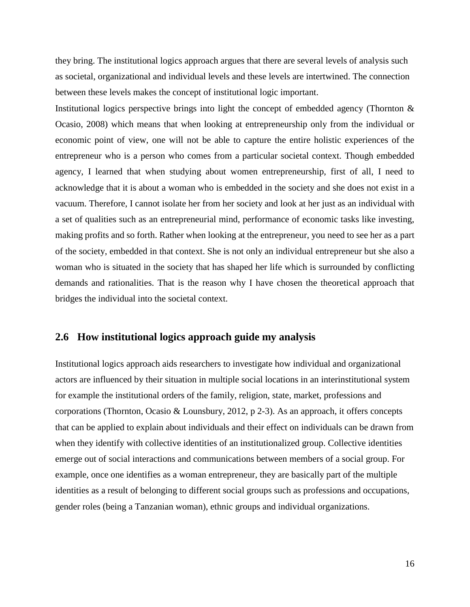they bring. The institutional logics approach argues that there are several levels of analysis such as societal, organizational and individual levels and these levels are intertwined. The connection between these levels makes the concept of institutional logic important.

Institutional logics perspective brings into light the concept of embedded agency (Thornton & Ocasio, 2008) which means that when looking at entrepreneurship only from the individual or economic point of view, one will not be able to capture the entire holistic experiences of the entrepreneur who is a person who comes from a particular societal context. Though embedded agency, I learned that when studying about women entrepreneurship, first of all, I need to acknowledge that it is about a woman who is embedded in the society and she does not exist in a vacuum. Therefore, I cannot isolate her from her society and look at her just as an individual with a set of qualities such as an entrepreneurial mind, performance of economic tasks like investing, making profits and so forth. Rather when looking at the entrepreneur, you need to see her as a part of the society, embedded in that context. She is not only an individual entrepreneur but she also a woman who is situated in the society that has shaped her life which is surrounded by conflicting demands and rationalities. That is the reason why I have chosen the theoretical approach that bridges the individual into the societal context.

#### <span id="page-21-0"></span>**2.6 How institutional logics approach guide my analysis**

Institutional logics approach aids researchers to investigate how individual and organizational actors are influenced by their situation in multiple social locations in an interinstitutional system for example the institutional orders of the family, religion, state, market, professions and corporations (Thornton, Ocasio & Lounsbury, 2012, p 2-3). As an approach, it offers concepts that can be applied to explain about individuals and their effect on individuals can be drawn from when they identify with collective identities of an institutionalized group. Collective identities emerge out of social interactions and communications between members of a social group. For example, once one identifies as a woman entrepreneur, they are basically part of the multiple identities as a result of belonging to different social groups such as professions and occupations, gender roles (being a Tanzanian woman), ethnic groups and individual organizations.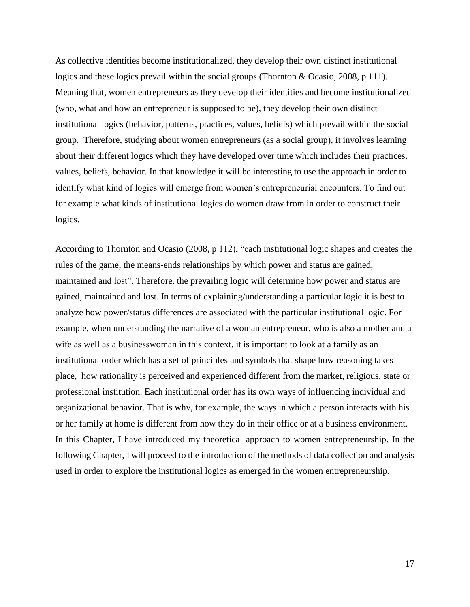As collective identities become institutionalized, they develop their own distinct institutional logics and these logics prevail within the social groups (Thornton & Ocasio, 2008, p 111). Meaning that, women entrepreneurs as they develop their identities and become institutionalized (who, what and how an entrepreneur is supposed to be), they develop their own distinct institutional logics (behavior, patterns, practices, values, beliefs) which prevail within the social group. Therefore, studying about women entrepreneurs (as a social group), it involves learning about their different logics which they have developed over time which includes their practices, values, beliefs, behavior. In that knowledge it will be interesting to use the approach in order to identify what kind of logics will emerge from women's entrepreneurial encounters. To find out for example what kinds of institutional logics do women draw from in order to construct their logics.

According to Thornton and Ocasio (2008, p 112), "each institutional logic shapes and creates the rules of the game, the means-ends relationships by which power and status are gained, maintained and lost". Therefore, the prevailing logic will determine how power and status are gained, maintained and lost. In terms of explaining/understanding a particular logic it is best to analyze how power/status differences are associated with the particular institutional logic. For example, when understanding the narrative of a woman entrepreneur, who is also a mother and a wife as well as a businesswoman in this context, it is important to look at a family as an institutional order which has a set of principles and symbols that shape how reasoning takes place, how rationality is perceived and experienced different from the market, religious, state or professional institution. Each institutional order has its own ways of influencing individual and organizational behavior. That is why, for example, the ways in which a person interacts with his or her family at home is different from how they do in their office or at a business environment. In this Chapter, I have introduced my theoretical approach to women entrepreneurship. In the following Chapter, I will proceed to the introduction of the methods of data collection and analysis used in order to explore the institutional logics as emerged in the women entrepreneurship.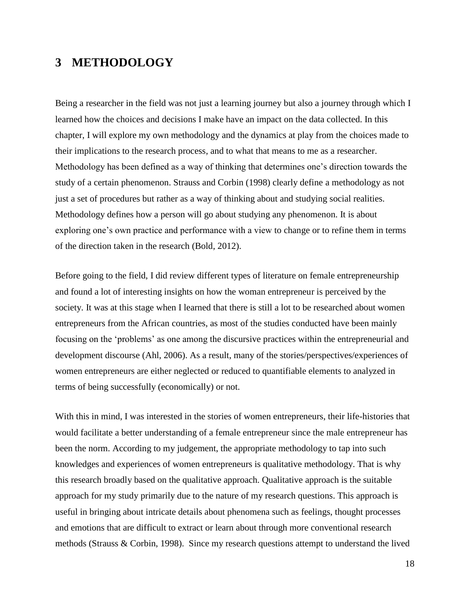## <span id="page-23-0"></span>**3 METHODOLOGY**

Being a researcher in the field was not just a learning journey but also a journey through which I learned how the choices and decisions I make have an impact on the data collected. In this chapter, I will explore my own methodology and the dynamics at play from the choices made to their implications to the research process, and to what that means to me as a researcher. Methodology has been defined as a way of thinking that determines one's direction towards the study of a certain phenomenon. Strauss and Corbin (1998) clearly define a methodology as not just a set of procedures but rather as a way of thinking about and studying social realities. Methodology defines how a person will go about studying any phenomenon. It is about exploring one's own practice and performance with a view to change or to refine them in terms of the direction taken in the research (Bold, 2012).

Before going to the field, I did review different types of literature on female entrepreneurship and found a lot of interesting insights on how the woman entrepreneur is perceived by the society. It was at this stage when I learned that there is still a lot to be researched about women entrepreneurs from the African countries, as most of the studies conducted have been mainly focusing on the 'problems' as one among the discursive practices within the entrepreneurial and development discourse (Ahl, 2006). As a result, many of the stories/perspectives/experiences of women entrepreneurs are either neglected or reduced to quantifiable elements to analyzed in terms of being successfully (economically) or not.

With this in mind, I was interested in the stories of women entrepreneurs, their life-histories that would facilitate a better understanding of a female entrepreneur since the male entrepreneur has been the norm. According to my judgement, the appropriate methodology to tap into such knowledges and experiences of women entrepreneurs is qualitative methodology. That is why this research broadly based on the qualitative approach. Qualitative approach is the suitable approach for my study primarily due to the nature of my research questions. This approach is useful in bringing about intricate details about phenomena such as feelings, thought processes and emotions that are difficult to extract or learn about through more conventional research methods (Strauss & Corbin, 1998). Since my research questions attempt to understand the lived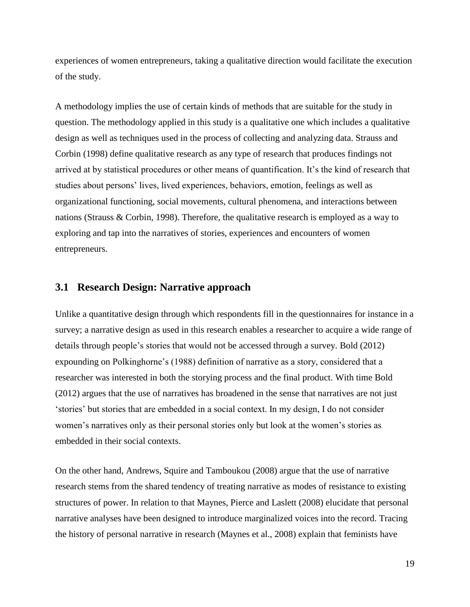experiences of women entrepreneurs, taking a qualitative direction would facilitate the execution of the study.

A methodology implies the use of certain kinds of methods that are suitable for the study in question. The methodology applied in this study is a qualitative one which includes a qualitative design as well as techniques used in the process of collecting and analyzing data. Strauss and Corbin (1998) define qualitative research as any type of research that produces findings not arrived at by statistical procedures or other means of quantification. It's the kind of research that studies about persons' lives, lived experiences, behaviors, emotion, feelings as well as organizational functioning, social movements, cultural phenomena, and interactions between nations (Strauss & Corbin, 1998). Therefore, the qualitative research is employed as a way to exploring and tap into the narratives of stories, experiences and encounters of women entrepreneurs.

### <span id="page-24-0"></span>**3.1 Research Design: Narrative approach**

Unlike a quantitative design through which respondents fill in the questionnaires for instance in a survey; a narrative design as used in this research enables a researcher to acquire a wide range of details through people's stories that would not be accessed through a survey. Bold (2012) expounding on Polkinghorne's (1988) definition of narrative as a story, considered that a researcher was interested in both the storying process and the final product. With time Bold (2012) argues that the use of narratives has broadened in the sense that narratives are not just 'stories' but stories that are embedded in a social context. In my design, I do not consider women's narratives only as their personal stories only but look at the women's stories as embedded in their social contexts.

On the other hand, Andrews, Squire and Tamboukou (2008) argue that the use of narrative research stems from the shared tendency of treating narrative as modes of resistance to existing structures of power. In relation to that Maynes, Pierce and Laslett (2008) elucidate that personal narrative analyses have been designed to introduce marginalized voices into the record. Tracing the history of personal narrative in research (Maynes et al., 2008) explain that feminists have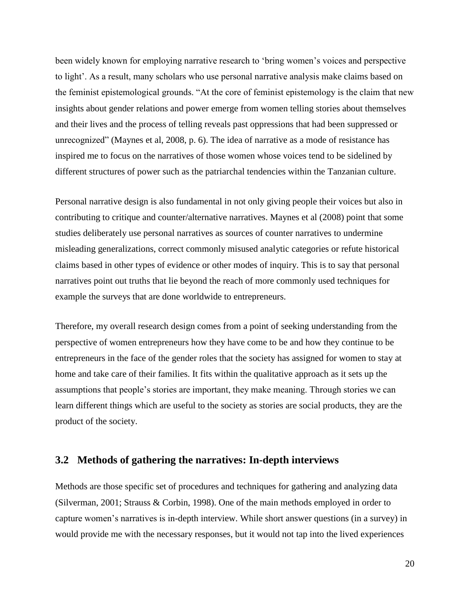been widely known for employing narrative research to 'bring women's voices and perspective to light'. As a result, many scholars who use personal narrative analysis make claims based on the feminist epistemological grounds. "At the core of feminist epistemology is the claim that new insights about gender relations and power emerge from women telling stories about themselves and their lives and the process of telling reveals past oppressions that had been suppressed or unrecognized" (Maynes et al, 2008, p. 6). The idea of narrative as a mode of resistance has inspired me to focus on the narratives of those women whose voices tend to be sidelined by different structures of power such as the patriarchal tendencies within the Tanzanian culture.

Personal narrative design is also fundamental in not only giving people their voices but also in contributing to critique and counter/alternative narratives. Maynes et al (2008) point that some studies deliberately use personal narratives as sources of counter narratives to undermine misleading generalizations, correct commonly misused analytic categories or refute historical claims based in other types of evidence or other modes of inquiry. This is to say that personal narratives point out truths that lie beyond the reach of more commonly used techniques for example the surveys that are done worldwide to entrepreneurs.

Therefore, my overall research design comes from a point of seeking understanding from the perspective of women entrepreneurs how they have come to be and how they continue to be entrepreneurs in the face of the gender roles that the society has assigned for women to stay at home and take care of their families. It fits within the qualitative approach as it sets up the assumptions that people's stories are important, they make meaning. Through stories we can learn different things which are useful to the society as stories are social products, they are the product of the society.

### <span id="page-25-0"></span>**3.2 Methods of gathering the narratives: In-depth interviews**

Methods are those specific set of procedures and techniques for gathering and analyzing data (Silverman, 2001; Strauss & Corbin, 1998). One of the main methods employed in order to capture women's narratives is in-depth interview. While short answer questions (in a survey) in would provide me with the necessary responses, but it would not tap into the lived experiences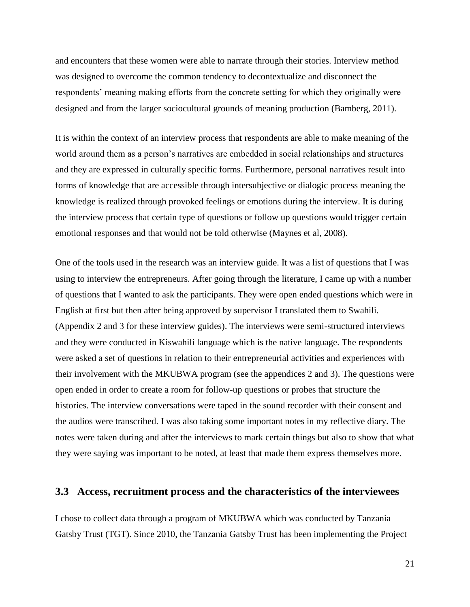and encounters that these women were able to narrate through their stories. Interview method was designed to overcome the common tendency to decontextualize and disconnect the respondents' meaning making efforts from the concrete setting for which they originally were designed and from the larger sociocultural grounds of meaning production (Bamberg, 2011).

It is within the context of an interview process that respondents are able to make meaning of the world around them as a person's narratives are embedded in social relationships and structures and they are expressed in culturally specific forms. Furthermore, personal narratives result into forms of knowledge that are accessible through intersubjective or dialogic process meaning the knowledge is realized through provoked feelings or emotions during the interview. It is during the interview process that certain type of questions or follow up questions would trigger certain emotional responses and that would not be told otherwise (Maynes et al, 2008).

One of the tools used in the research was an interview guide. It was a list of questions that I was using to interview the entrepreneurs. After going through the literature, I came up with a number of questions that I wanted to ask the participants. They were open ended questions which were in English at first but then after being approved by supervisor I translated them to Swahili. (Appendix 2 and 3 for these interview guides). The interviews were semi-structured interviews and they were conducted in Kiswahili language which is the native language. The respondents were asked a set of questions in relation to their entrepreneurial activities and experiences with their involvement with the MKUBWA program (see the appendices 2 and 3). The questions were open ended in order to create a room for follow-up questions or probes that structure the histories. The interview conversations were taped in the sound recorder with their consent and the audios were transcribed. I was also taking some important notes in my reflective diary. The notes were taken during and after the interviews to mark certain things but also to show that what they were saying was important to be noted, at least that made them express themselves more.

#### <span id="page-26-0"></span>**3.3 Access, recruitment process and the characteristics of the interviewees**

I chose to collect data through a program of MKUBWA which was conducted by Tanzania Gatsby Trust (TGT). Since 2010, the Tanzania Gatsby Trust has been implementing the Project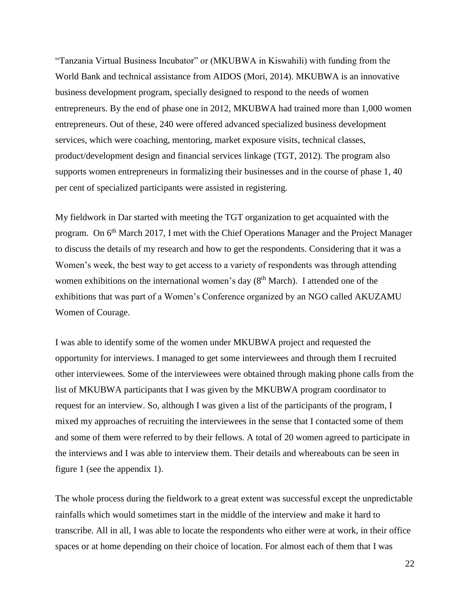"Tanzania Virtual Business Incubator" or (MKUBWA in Kiswahili) with funding from the World Bank and technical assistance from AIDOS (Mori, 2014). MKUBWA is an innovative business development program, specially designed to respond to the needs of women entrepreneurs. By the end of phase one in 2012, MKUBWA had trained more than 1,000 women entrepreneurs. Out of these, 240 were offered advanced specialized business development services, which were coaching, mentoring, market exposure visits, technical classes, product/development design and financial services linkage (TGT, 2012). The program also supports women entrepreneurs in formalizing their businesses and in the course of phase 1, 40 per cent of specialized participants were assisted in registering.

My fieldwork in Dar started with meeting the TGT organization to get acquainted with the program. On 6<sup>th</sup> March 2017, I met with the Chief Operations Manager and the Project Manager to discuss the details of my research and how to get the respondents. Considering that it was a Women's week, the best way to get access to a variety of respondents was through attending women exhibitions on the international women's day  $(8<sup>th</sup> March)$ . I attended one of the exhibitions that was part of a Women's Conference organized by an NGO called AKUZAMU Women of Courage.

I was able to identify some of the women under MKUBWA project and requested the opportunity for interviews. I managed to get some interviewees and through them I recruited other interviewees. Some of the interviewees were obtained through making phone calls from the list of MKUBWA participants that I was given by the MKUBWA program coordinator to request for an interview. So, although I was given a list of the participants of the program, I mixed my approaches of recruiting the interviewees in the sense that I contacted some of them and some of them were referred to by their fellows. A total of 20 women agreed to participate in the interviews and I was able to interview them. Their details and whereabouts can be seen in figure 1 (see the appendix 1).

The whole process during the fieldwork to a great extent was successful except the unpredictable rainfalls which would sometimes start in the middle of the interview and make it hard to transcribe. All in all, I was able to locate the respondents who either were at work, in their office spaces or at home depending on their choice of location. For almost each of them that I was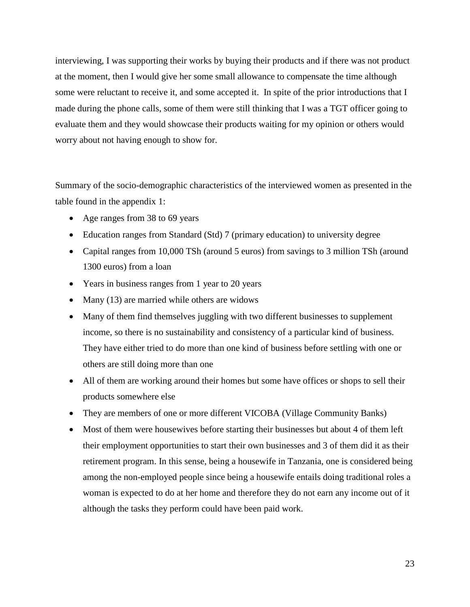interviewing, I was supporting their works by buying their products and if there was not product at the moment, then I would give her some small allowance to compensate the time although some were reluctant to receive it, and some accepted it. In spite of the prior introductions that I made during the phone calls, some of them were still thinking that I was a TGT officer going to evaluate them and they would showcase their products waiting for my opinion or others would worry about not having enough to show for.

Summary of the socio-demographic characteristics of the interviewed women as presented in the table found in the appendix 1:

- Age ranges from 38 to 69 years
- Education ranges from Standard (Std) 7 (primary education) to university degree
- Capital ranges from 10,000 TSh (around 5 euros) from savings to 3 million TSh (around 1300 euros) from a loan
- Years in business ranges from 1 year to 20 years
- Many (13) are married while others are widows
- Many of them find themselves juggling with two different businesses to supplement income, so there is no sustainability and consistency of a particular kind of business. They have either tried to do more than one kind of business before settling with one or others are still doing more than one
- All of them are working around their homes but some have offices or shops to sell their products somewhere else
- They are members of one or more different VICOBA (Village Community Banks)
- Most of them were housewives before starting their businesses but about 4 of them left their employment opportunities to start their own businesses and 3 of them did it as their retirement program. In this sense, being a housewife in Tanzania, one is considered being among the non-employed people since being a housewife entails doing traditional roles a woman is expected to do at her home and therefore they do not earn any income out of it although the tasks they perform could have been paid work.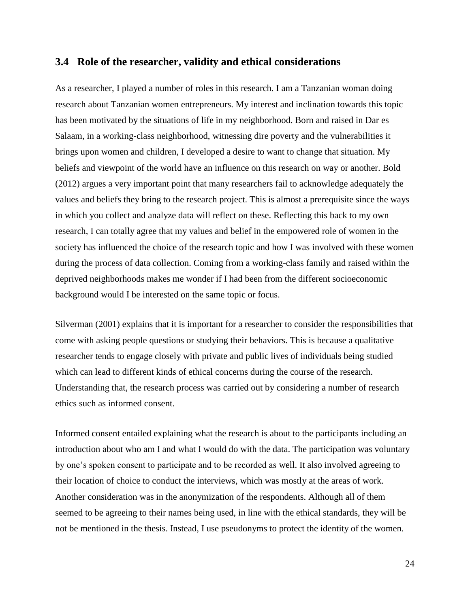#### <span id="page-29-0"></span>**3.4 Role of the researcher, validity and ethical considerations**

As a researcher, I played a number of roles in this research. I am a Tanzanian woman doing research about Tanzanian women entrepreneurs. My interest and inclination towards this topic has been motivated by the situations of life in my neighborhood. Born and raised in Dar es Salaam, in a working-class neighborhood, witnessing dire poverty and the vulnerabilities it brings upon women and children, I developed a desire to want to change that situation. My beliefs and viewpoint of the world have an influence on this research on way or another. Bold (2012) argues a very important point that many researchers fail to acknowledge adequately the values and beliefs they bring to the research project. This is almost a prerequisite since the ways in which you collect and analyze data will reflect on these. Reflecting this back to my own research, I can totally agree that my values and belief in the empowered role of women in the society has influenced the choice of the research topic and how I was involved with these women during the process of data collection. Coming from a working-class family and raised within the deprived neighborhoods makes me wonder if I had been from the different socioeconomic background would I be interested on the same topic or focus.

Silverman (2001) explains that it is important for a researcher to consider the responsibilities that come with asking people questions or studying their behaviors. This is because a qualitative researcher tends to engage closely with private and public lives of individuals being studied which can lead to different kinds of ethical concerns during the course of the research. Understanding that, the research process was carried out by considering a number of research ethics such as informed consent.

Informed consent entailed explaining what the research is about to the participants including an introduction about who am I and what I would do with the data. The participation was voluntary by one's spoken consent to participate and to be recorded as well. It also involved agreeing to their location of choice to conduct the interviews, which was mostly at the areas of work. Another consideration was in the anonymization of the respondents. Although all of them seemed to be agreeing to their names being used, in line with the ethical standards, they will be not be mentioned in the thesis. Instead, I use pseudonyms to protect the identity of the women.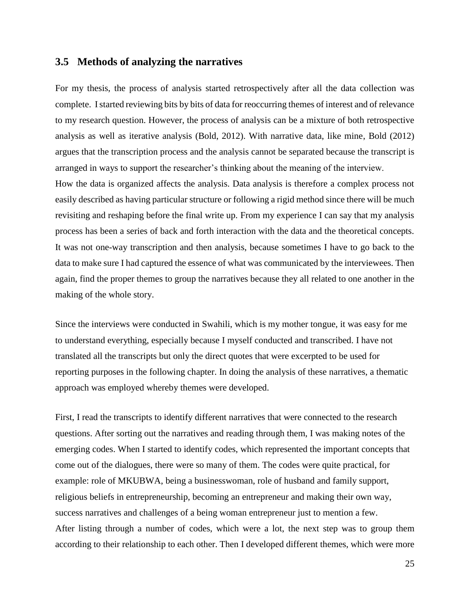#### <span id="page-30-0"></span>**3.5 Methods of analyzing the narratives**

For my thesis, the process of analysis started retrospectively after all the data collection was complete. I started reviewing bits by bits of data for reoccurring themes of interest and of relevance to my research question. However, the process of analysis can be a mixture of both retrospective analysis as well as iterative analysis (Bold, 2012). With narrative data, like mine, Bold (2012) argues that the transcription process and the analysis cannot be separated because the transcript is arranged in ways to support the researcher's thinking about the meaning of the interview.

How the data is organized affects the analysis. Data analysis is therefore a complex process not easily described as having particular structure or following a rigid method since there will be much revisiting and reshaping before the final write up. From my experience I can say that my analysis process has been a series of back and forth interaction with the data and the theoretical concepts. It was not one-way transcription and then analysis, because sometimes I have to go back to the data to make sure I had captured the essence of what was communicated by the interviewees. Then again, find the proper themes to group the narratives because they all related to one another in the making of the whole story.

Since the interviews were conducted in Swahili, which is my mother tongue, it was easy for me to understand everything, especially because I myself conducted and transcribed. I have not translated all the transcripts but only the direct quotes that were excerpted to be used for reporting purposes in the following chapter. In doing the analysis of these narratives, a thematic approach was employed whereby themes were developed.

First, I read the transcripts to identify different narratives that were connected to the research questions. After sorting out the narratives and reading through them, I was making notes of the emerging codes. When I started to identify codes, which represented the important concepts that come out of the dialogues, there were so many of them. The codes were quite practical, for example: role of MKUBWA, being a businesswoman, role of husband and family support, religious beliefs in entrepreneurship, becoming an entrepreneur and making their own way, success narratives and challenges of a being woman entrepreneur just to mention a few. After listing through a number of codes, which were a lot, the next step was to group them according to their relationship to each other. Then I developed different themes, which were more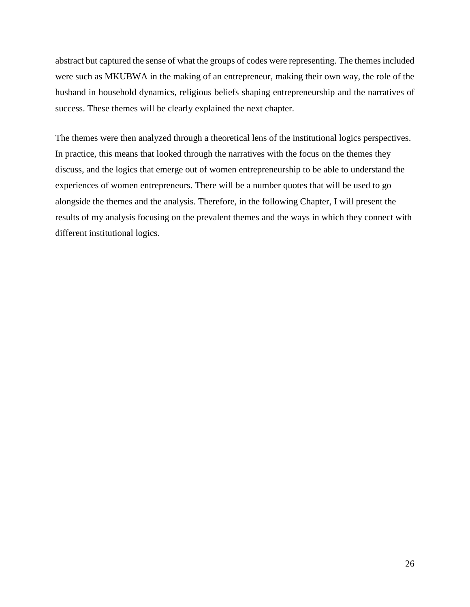abstract but captured the sense of what the groups of codes were representing. The themes included were such as MKUBWA in the making of an entrepreneur, making their own way, the role of the husband in household dynamics, religious beliefs shaping entrepreneurship and the narratives of success. These themes will be clearly explained the next chapter.

The themes were then analyzed through a theoretical lens of the institutional logics perspectives. In practice, this means that looked through the narratives with the focus on the themes they discuss, and the logics that emerge out of women entrepreneurship to be able to understand the experiences of women entrepreneurs. There will be a number quotes that will be used to go alongside the themes and the analysis. Therefore, in the following Chapter, I will present the results of my analysis focusing on the prevalent themes and the ways in which they connect with different institutional logics.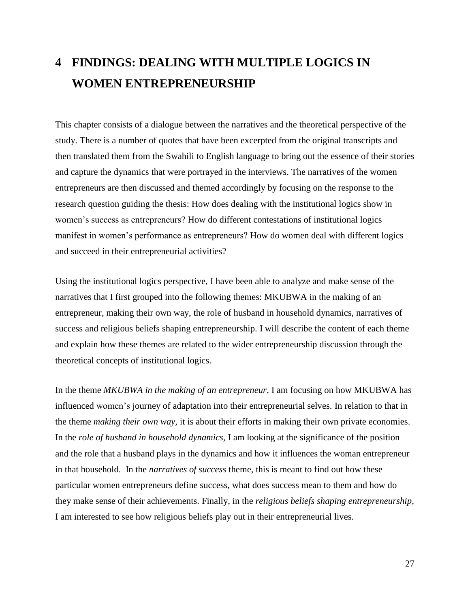## <span id="page-32-0"></span>**4 FINDINGS: DEALING WITH MULTIPLE LOGICS IN WOMEN ENTREPRENEURSHIP**

This chapter consists of a dialogue between the narratives and the theoretical perspective of the study. There is a number of quotes that have been excerpted from the original transcripts and then translated them from the Swahili to English language to bring out the essence of their stories and capture the dynamics that were portrayed in the interviews. The narratives of the women entrepreneurs are then discussed and themed accordingly by focusing on the response to the research question guiding the thesis: How does dealing with the institutional logics show in women's success as entrepreneurs? How do different contestations of institutional logics manifest in women's performance as entrepreneurs? How do women deal with different logics and succeed in their entrepreneurial activities?

Using the institutional logics perspective, I have been able to analyze and make sense of the narratives that I first grouped into the following themes: MKUBWA in the making of an entrepreneur, making their own way, the role of husband in household dynamics, narratives of success and religious beliefs shaping entrepreneurship. I will describe the content of each theme and explain how these themes are related to the wider entrepreneurship discussion through the theoretical concepts of institutional logics.

In the theme *MKUBWA in the making of an entrepreneur*, I am focusing on how MKUBWA has influenced women's journey of adaptation into their entrepreneurial selves. In relation to that in the theme *making their own way,* it is about their efforts in making their own private economies. In the *role of husband in household dynamics,* I am looking at the significance of the position and the role that a husband plays in the dynamics and how it influences the woman entrepreneur in that household. In the *narratives of success* theme, this is meant to find out how these particular women entrepreneurs define success, what does success mean to them and how do they make sense of their achievements. Finally, in the *religious beliefs shaping entrepreneurship*, I am interested to see how religious beliefs play out in their entrepreneurial lives.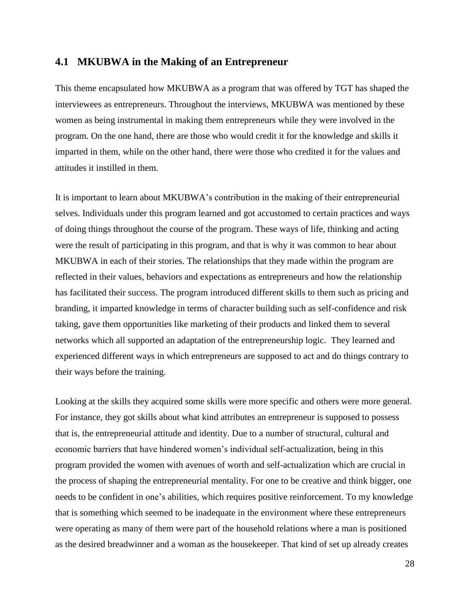#### <span id="page-33-0"></span>**4.1 MKUBWA in the Making of an Entrepreneur**

This theme encapsulated how MKUBWA as a program that was offered by TGT has shaped the interviewees as entrepreneurs. Throughout the interviews, MKUBWA was mentioned by these women as being instrumental in making them entrepreneurs while they were involved in the program. On the one hand, there are those who would credit it for the knowledge and skills it imparted in them, while on the other hand, there were those who credited it for the values and attitudes it instilled in them.

It is important to learn about MKUBWA's contribution in the making of their entrepreneurial selves. Individuals under this program learned and got accustomed to certain practices and ways of doing things throughout the course of the program. These ways of life, thinking and acting were the result of participating in this program, and that is why it was common to hear about MKUBWA in each of their stories. The relationships that they made within the program are reflected in their values, behaviors and expectations as entrepreneurs and how the relationship has facilitated their success. The program introduced different skills to them such as pricing and branding, it imparted knowledge in terms of character building such as self-confidence and risk taking, gave them opportunities like marketing of their products and linked them to several networks which all supported an adaptation of the entrepreneurship logic. They learned and experienced different ways in which entrepreneurs are supposed to act and do things contrary to their ways before the training.

Looking at the skills they acquired some skills were more specific and others were more general. For instance, they got skills about what kind attributes an entrepreneur is supposed to possess that is, the entrepreneurial attitude and identity. Due to a number of structural, cultural and economic barriers that have hindered women's individual self-actualization, being in this program provided the women with avenues of worth and self-actualization which are crucial in the process of shaping the entrepreneurial mentality. For one to be creative and think bigger, one needs to be confident in one's abilities, which requires positive reinforcement. To my knowledge that is something which seemed to be inadequate in the environment where these entrepreneurs were operating as many of them were part of the household relations where a man is positioned as the desired breadwinner and a woman as the housekeeper. That kind of set up already creates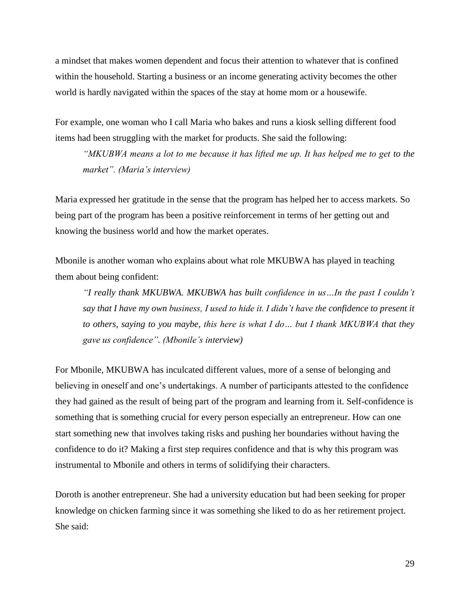a mindset that makes women dependent and focus their attention to whatever that is confined within the household. Starting a business or an income generating activity becomes the other world is hardly navigated within the spaces of the stay at home mom or a housewife.

For example, one woman who I call Maria who bakes and runs a kiosk selling different food items had been struggling with the market for products. She said the following:

*"MKUBWA means a lot to me because it has lifted me up. It has helped me to get to the market". (Maria's interview)*

Maria expressed her gratitude in the sense that the program has helped her to access markets. So being part of the program has been a positive reinforcement in terms of her getting out and knowing the business world and how the market operates.

Mbonile is another woman who explains about what role MKUBWA has played in teaching them about being confident:

*"I really thank MKUBWA. MKUBWA has built confidence in us…In the past I couldn't say that I have my own business, I used to hide it. I didn't have the confidence to present it to others, saying to you maybe, this here is what I do… but I thank MKUBWA that they gave us confidence". (Mbonile's interview)*

For Mbonile, MKUBWA has inculcated different values, more of a sense of belonging and believing in oneself and one's undertakings. A number of participants attested to the confidence they had gained as the result of being part of the program and learning from it. Self-confidence is something that is something crucial for every person especially an entrepreneur. How can one start something new that involves taking risks and pushing her boundaries without having the confidence to do it? Making a first step requires confidence and that is why this program was instrumental to Mbonile and others in terms of solidifying their characters.

Doroth is another entrepreneur. She had a university education but had been seeking for proper knowledge on chicken farming since it was something she liked to do as her retirement project. She said: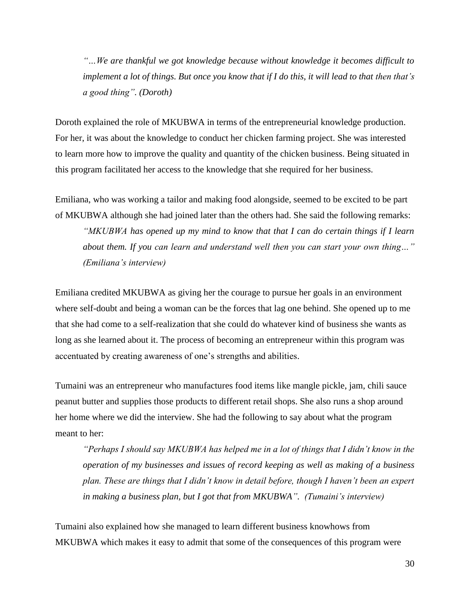*"…We are thankful we got knowledge because without knowledge it becomes difficult to implement a lot of things. But once you know that if I do this, it will lead to that then that's a good thing". (Doroth)*

Doroth explained the role of MKUBWA in terms of the entrepreneurial knowledge production. For her, it was about the knowledge to conduct her chicken farming project. She was interested to learn more how to improve the quality and quantity of the chicken business. Being situated in this program facilitated her access to the knowledge that she required for her business.

Emiliana, who was working a tailor and making food alongside, seemed to be excited to be part of MKUBWA although she had joined later than the others had. She said the following remarks:

*"MKUBWA has opened up my mind to know that that I can do certain things if I learn about them. If you can learn and understand well then you can start your own thing…" (Emiliana's interview)*

Emiliana credited MKUBWA as giving her the courage to pursue her goals in an environment where self-doubt and being a woman can be the forces that lag one behind. She opened up to me that she had come to a self-realization that she could do whatever kind of business she wants as long as she learned about it. The process of becoming an entrepreneur within this program was accentuated by creating awareness of one's strengths and abilities.

Tumaini was an entrepreneur who manufactures food items like mangle pickle, jam, chili sauce peanut butter and supplies those products to different retail shops. She also runs a shop around her home where we did the interview. She had the following to say about what the program meant to her:

*"Perhaps I should say MKUBWA has helped me in a lot of things that I didn't know in the operation of my businesses and issues of record keeping as well as making of a business plan. These are things that I didn't know in detail before, though I haven't been an expert in making a business plan, but I got that from MKUBWA". (Tumaini's interview)*

Tumaini also explained how she managed to learn different business knowhows from MKUBWA which makes it easy to admit that some of the consequences of this program were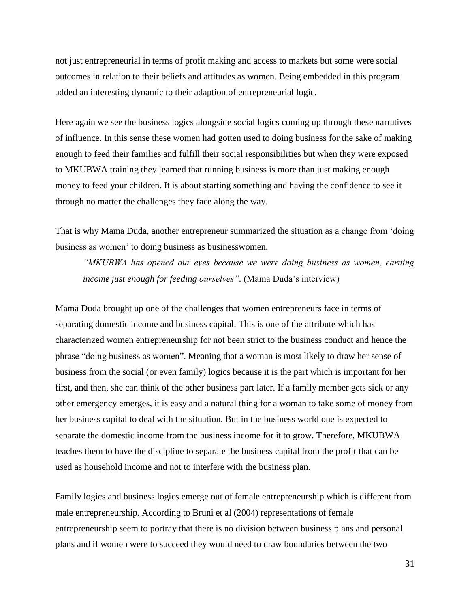not just entrepreneurial in terms of profit making and access to markets but some were social outcomes in relation to their beliefs and attitudes as women. Being embedded in this program added an interesting dynamic to their adaption of entrepreneurial logic.

Here again we see the business logics alongside social logics coming up through these narratives of influence. In this sense these women had gotten used to doing business for the sake of making enough to feed their families and fulfill their social responsibilities but when they were exposed to MKUBWA training they learned that running business is more than just making enough money to feed your children. It is about starting something and having the confidence to see it through no matter the challenges they face along the way.

That is why Mama Duda, another entrepreneur summarized the situation as a change from 'doing business as women' to doing business as businesswomen.

*"MKUBWA has opened our eyes because we were doing business as women, earning income just enough for feeding ourselves".* (Mama Duda's interview)

Mama Duda brought up one of the challenges that women entrepreneurs face in terms of separating domestic income and business capital. This is one of the attribute which has characterized women entrepreneurship for not been strict to the business conduct and hence the phrase "doing business as women". Meaning that a woman is most likely to draw her sense of business from the social (or even family) logics because it is the part which is important for her first, and then, she can think of the other business part later. If a family member gets sick or any other emergency emerges, it is easy and a natural thing for a woman to take some of money from her business capital to deal with the situation. But in the business world one is expected to separate the domestic income from the business income for it to grow. Therefore, MKUBWA teaches them to have the discipline to separate the business capital from the profit that can be used as household income and not to interfere with the business plan.

Family logics and business logics emerge out of female entrepreneurship which is different from male entrepreneurship. According to Bruni et al (2004) representations of female entrepreneurship seem to portray that there is no division between business plans and personal plans and if women were to succeed they would need to draw boundaries between the two

31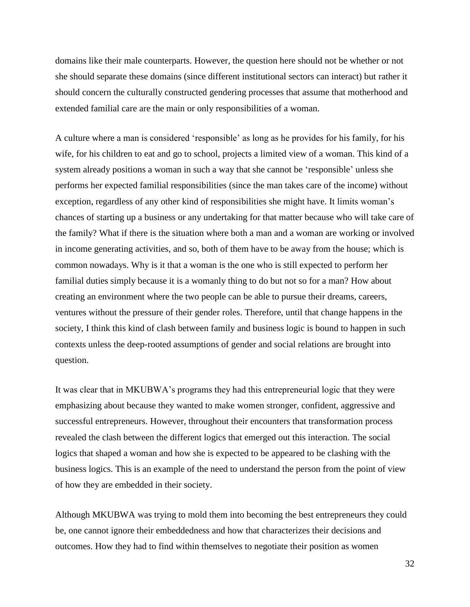domains like their male counterparts. However, the question here should not be whether or not she should separate these domains (since different institutional sectors can interact) but rather it should concern the culturally constructed gendering processes that assume that motherhood and extended familial care are the main or only responsibilities of a woman.

A culture where a man is considered 'responsible' as long as he provides for his family, for his wife, for his children to eat and go to school, projects a limited view of a woman. This kind of a system already positions a woman in such a way that she cannot be 'responsible' unless she performs her expected familial responsibilities (since the man takes care of the income) without exception, regardless of any other kind of responsibilities she might have. It limits woman's chances of starting up a business or any undertaking for that matter because who will take care of the family? What if there is the situation where both a man and a woman are working or involved in income generating activities, and so, both of them have to be away from the house; which is common nowadays. Why is it that a woman is the one who is still expected to perform her familial duties simply because it is a womanly thing to do but not so for a man? How about creating an environment where the two people can be able to pursue their dreams, careers, ventures without the pressure of their gender roles. Therefore, until that change happens in the society, I think this kind of clash between family and business logic is bound to happen in such contexts unless the deep-rooted assumptions of gender and social relations are brought into question.

It was clear that in MKUBWA's programs they had this entrepreneurial logic that they were emphasizing about because they wanted to make women stronger, confident, aggressive and successful entrepreneurs. However, throughout their encounters that transformation process revealed the clash between the different logics that emerged out this interaction. The social logics that shaped a woman and how she is expected to be appeared to be clashing with the business logics. This is an example of the need to understand the person from the point of view of how they are embedded in their society.

Although MKUBWA was trying to mold them into becoming the best entrepreneurs they could be, one cannot ignore their embeddedness and how that characterizes their decisions and outcomes. How they had to find within themselves to negotiate their position as women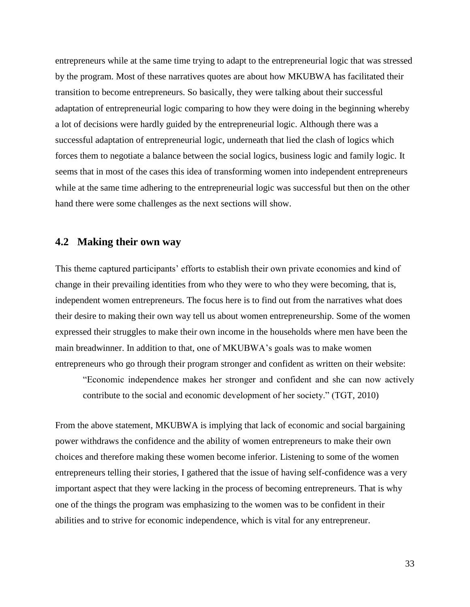entrepreneurs while at the same time trying to adapt to the entrepreneurial logic that was stressed by the program. Most of these narratives quotes are about how MKUBWA has facilitated their transition to become entrepreneurs. So basically, they were talking about their successful adaptation of entrepreneurial logic comparing to how they were doing in the beginning whereby a lot of decisions were hardly guided by the entrepreneurial logic. Although there was a successful adaptation of entrepreneurial logic, underneath that lied the clash of logics which forces them to negotiate a balance between the social logics, business logic and family logic. It seems that in most of the cases this idea of transforming women into independent entrepreneurs while at the same time adhering to the entrepreneurial logic was successful but then on the other hand there were some challenges as the next sections will show.

### **4.2 Making their own way**

This theme captured participants' efforts to establish their own private economies and kind of change in their prevailing identities from who they were to who they were becoming, that is, independent women entrepreneurs. The focus here is to find out from the narratives what does their desire to making their own way tell us about women entrepreneurship. Some of the women expressed their struggles to make their own income in the households where men have been the main breadwinner. In addition to that, one of MKUBWA's goals was to make women entrepreneurs who go through their program stronger and confident as written on their website:

"Economic independence makes her stronger and confident and she can now actively contribute to the social and economic development of her society." (TGT, 2010)

From the above statement, MKUBWA is implying that lack of economic and social bargaining power withdraws the confidence and the ability of women entrepreneurs to make their own choices and therefore making these women become inferior. Listening to some of the women entrepreneurs telling their stories, I gathered that the issue of having self-confidence was a very important aspect that they were lacking in the process of becoming entrepreneurs. That is why one of the things the program was emphasizing to the women was to be confident in their abilities and to strive for economic independence, which is vital for any entrepreneur.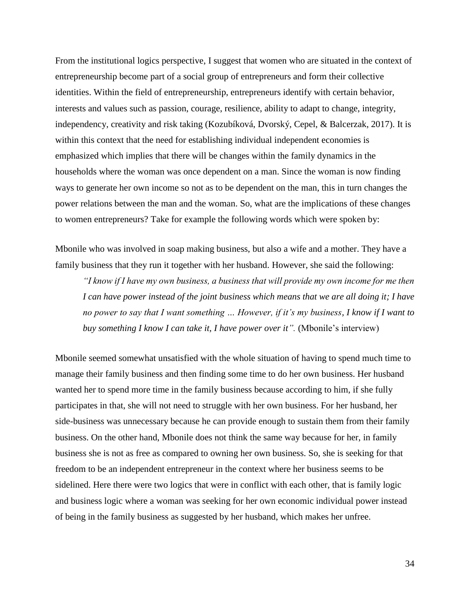From the institutional logics perspective, I suggest that women who are situated in the context of entrepreneurship become part of a social group of entrepreneurs and form their collective identities. Within the field of entrepreneurship, entrepreneurs identify with certain behavior, interests and values such as passion, courage, resilience, ability to adapt to change, integrity, independency, creativity and risk taking (Kozubíková, Dvorský, Cepel, & Balcerzak, 2017). It is within this context that the need for establishing individual independent economies is emphasized which implies that there will be changes within the family dynamics in the households where the woman was once dependent on a man. Since the woman is now finding ways to generate her own income so not as to be dependent on the man, this in turn changes the power relations between the man and the woman. So, what are the implications of these changes to women entrepreneurs? Take for example the following words which were spoken by:

Mbonile who was involved in soap making business, but also a wife and a mother. They have a family business that they run it together with her husband. However, she said the following:

*"I know if I have my own business, a business that will provide my own income for me then I can have power instead of the joint business which means that we are all doing it; I have no power to say that I want something … However, if it's my business, I know if I want to buy something I know I can take it, I have power over it".* (Mbonile's interview)

Mbonile seemed somewhat unsatisfied with the whole situation of having to spend much time to manage their family business and then finding some time to do her own business. Her husband wanted her to spend more time in the family business because according to him, if she fully participates in that, she will not need to struggle with her own business. For her husband, her side-business was unnecessary because he can provide enough to sustain them from their family business. On the other hand, Mbonile does not think the same way because for her, in family business she is not as free as compared to owning her own business. So, she is seeking for that freedom to be an independent entrepreneur in the context where her business seems to be sidelined. Here there were two logics that were in conflict with each other, that is family logic and business logic where a woman was seeking for her own economic individual power instead of being in the family business as suggested by her husband, which makes her unfree.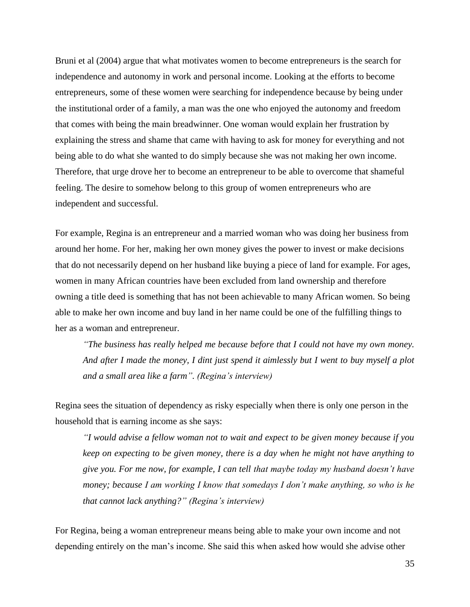Bruni et al (2004) argue that what motivates women to become entrepreneurs is the search for independence and autonomy in work and personal income. Looking at the efforts to become entrepreneurs, some of these women were searching for independence because by being under the institutional order of a family, a man was the one who enjoyed the autonomy and freedom that comes with being the main breadwinner. One woman would explain her frustration by explaining the stress and shame that came with having to ask for money for everything and not being able to do what she wanted to do simply because she was not making her own income. Therefore, that urge drove her to become an entrepreneur to be able to overcome that shameful feeling. The desire to somehow belong to this group of women entrepreneurs who are independent and successful.

For example, Regina is an entrepreneur and a married woman who was doing her business from around her home. For her, making her own money gives the power to invest or make decisions that do not necessarily depend on her husband like buying a piece of land for example. For ages, women in many African countries have been excluded from land ownership and therefore owning a title deed is something that has not been achievable to many African women. So being able to make her own income and buy land in her name could be one of the fulfilling things to her as a woman and entrepreneur.

*"The business has really helped me because before that I could not have my own money. And after I made the money, I dint just spend it aimlessly but I went to buy myself a plot and a small area like a farm". (Regina's interview)*

Regina sees the situation of dependency as risky especially when there is only one person in the household that is earning income as she says:

*"I would advise a fellow woman not to wait and expect to be given money because if you keep on expecting to be given money, there is a day when he might not have anything to give you. For me now, for example, I can tell that maybe today my husband doesn't have money; because I am working I know that somedays I don't make anything, so who is he that cannot lack anything?" (Regina's interview)*

For Regina, being a woman entrepreneur means being able to make your own income and not depending entirely on the man's income. She said this when asked how would she advise other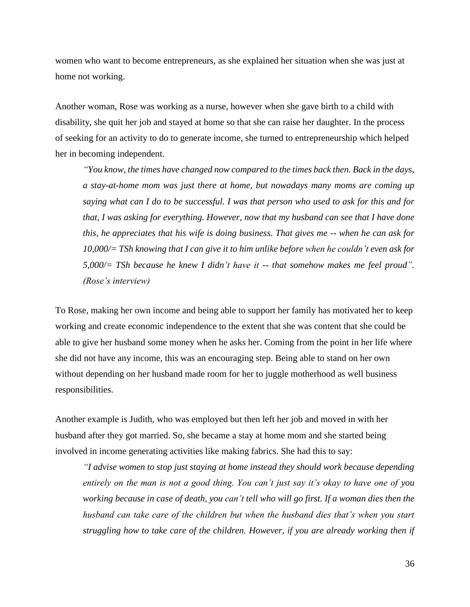women who want to become entrepreneurs, as she explained her situation when she was just at home not working.

Another woman, Rose was working as a nurse, however when she gave birth to a child with disability, she quit her job and stayed at home so that she can raise her daughter. In the process of seeking for an activity to do to generate income, she turned to entrepreneurship which helped her in becoming independent.

*"You know, the times have changed now compared to the times back then. Back in the days, a stay-at-home mom was just there at home, but nowadays many moms are coming up saying what can I do to be successful. I was that person who used to ask for this and for that, I was asking for everything. However, now that my husband can see that I have done this, he appreciates that his wife is doing business. That gives me -- when he can ask for 10,000/= TSh knowing that I can give it to him unlike before when he couldn't even ask for 5,000/= TSh because he knew I didn't have it -- that somehow makes me feel proud". (Rose's interview)*

To Rose, making her own income and being able to support her family has motivated her to keep working and create economic independence to the extent that she was content that she could be able to give her husband some money when he asks her. Coming from the point in her life where she did not have any income, this was an encouraging step. Being able to stand on her own without depending on her husband made room for her to juggle motherhood as well business responsibilities.

Another example is Judith, who was employed but then left her job and moved in with her husband after they got married. So, she became a stay at home mom and she started being involved in income generating activities like making fabrics. She had this to say:

*"I advise women to stop just staying at home instead they should work because depending entirely on the man is not a good thing. You can't just say it's okay to have one of you working because in case of death, you can't tell who will go first. If a woman dies then the husband can take care of the children but when the husband dies that's when you start struggling how to take care of the children. However, if you are already working then if*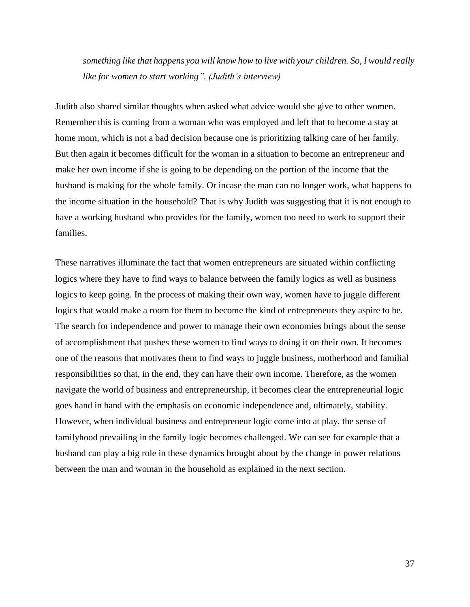*something like that happens you will know how to live with your children. So, I would really like for women to start working". (Judith's interview)*

Judith also shared similar thoughts when asked what advice would she give to other women. Remember this is coming from a woman who was employed and left that to become a stay at home mom, which is not a bad decision because one is prioritizing talking care of her family. But then again it becomes difficult for the woman in a situation to become an entrepreneur and make her own income if she is going to be depending on the portion of the income that the husband is making for the whole family. Or incase the man can no longer work, what happens to the income situation in the household? That is why Judith was suggesting that it is not enough to have a working husband who provides for the family, women too need to work to support their families.

These narratives illuminate the fact that women entrepreneurs are situated within conflicting logics where they have to find ways to balance between the family logics as well as business logics to keep going. In the process of making their own way, women have to juggle different logics that would make a room for them to become the kind of entrepreneurs they aspire to be. The search for independence and power to manage their own economies brings about the sense of accomplishment that pushes these women to find ways to doing it on their own. It becomes one of the reasons that motivates them to find ways to juggle business, motherhood and familial responsibilities so that, in the end, they can have their own income. Therefore, as the women navigate the world of business and entrepreneurship, it becomes clear the entrepreneurial logic goes hand in hand with the emphasis on economic independence and, ultimately, stability. However, when individual business and entrepreneur logic come into at play, the sense of familyhood prevailing in the family logic becomes challenged. We can see for example that a husband can play a big role in these dynamics brought about by the change in power relations between the man and woman in the household as explained in the next section.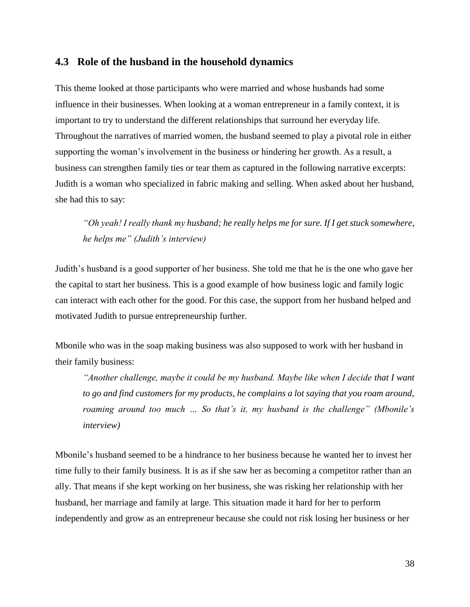### **4.3 Role of the husband in the household dynamics**

This theme looked at those participants who were married and whose husbands had some influence in their businesses. When looking at a woman entrepreneur in a family context, it is important to try to understand the different relationships that surround her everyday life. Throughout the narratives of married women, the husband seemed to play a pivotal role in either supporting the woman's involvement in the business or hindering her growth. As a result, a business can strengthen family ties or tear them as captured in the following narrative excerpts: Judith is a woman who specialized in fabric making and selling. When asked about her husband, she had this to say:

*"Oh yeah! I really thank my husband; he really helps me for sure. If I get stuck somewhere, he helps me" (Judith's interview)*

Judith's husband is a good supporter of her business. She told me that he is the one who gave her the capital to start her business. This is a good example of how business logic and family logic can interact with each other for the good. For this case, the support from her husband helped and motivated Judith to pursue entrepreneurship further.

Mbonile who was in the soap making business was also supposed to work with her husband in their family business:

*"Another challenge, maybe it could be my husband. Maybe like when I decide that I want to go and find customers for my products, he complains a lot saying that you roam around, roaming around too much … So that's it, my husband is the challenge" (Mbonile's interview)*

Mbonile's husband seemed to be a hindrance to her business because he wanted her to invest her time fully to their family business. It is as if she saw her as becoming a competitor rather than an ally. That means if she kept working on her business, she was risking her relationship with her husband, her marriage and family at large. This situation made it hard for her to perform independently and grow as an entrepreneur because she could not risk losing her business or her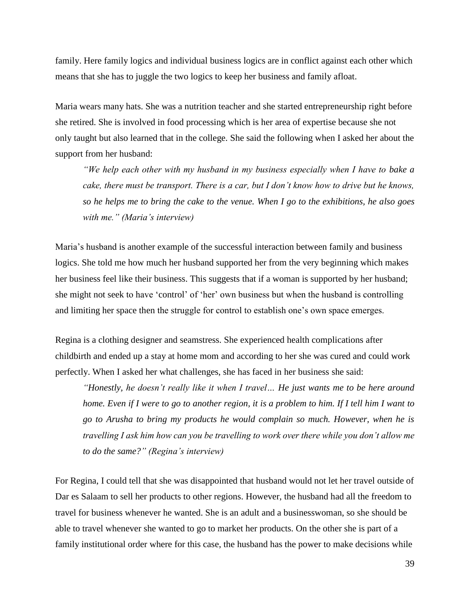family. Here family logics and individual business logics are in conflict against each other which means that she has to juggle the two logics to keep her business and family afloat.

Maria wears many hats. She was a nutrition teacher and she started entrepreneurship right before she retired. She is involved in food processing which is her area of expertise because she not only taught but also learned that in the college. She said the following when I asked her about the support from her husband:

*"We help each other with my husband in my business especially when I have to bake a cake, there must be transport. There is a car, but I don't know how to drive but he knows, so he helps me to bring the cake to the venue. When I go to the exhibitions, he also goes with me." (Maria's interview)*

Maria's husband is another example of the successful interaction between family and business logics. She told me how much her husband supported her from the very beginning which makes her business feel like their business. This suggests that if a woman is supported by her husband; she might not seek to have 'control' of 'her' own business but when the husband is controlling and limiting her space then the struggle for control to establish one's own space emerges.

Regina is a clothing designer and seamstress. She experienced health complications after childbirth and ended up a stay at home mom and according to her she was cured and could work perfectly. When I asked her what challenges, she has faced in her business she said:

*"Honestly, he doesn't really like it when I travel… He just wants me to be here around home. Even if I were to go to another region, it is a problem to him. If I tell him I want to go to Arusha to bring my products he would complain so much. However, when he is travelling I ask him how can you be travelling to work over there while you don't allow me to do the same?" (Regina's interview)*

For Regina, I could tell that she was disappointed that husband would not let her travel outside of Dar es Salaam to sell her products to other regions. However, the husband had all the freedom to travel for business whenever he wanted. She is an adult and a businesswoman, so she should be able to travel whenever she wanted to go to market her products. On the other she is part of a family institutional order where for this case, the husband has the power to make decisions while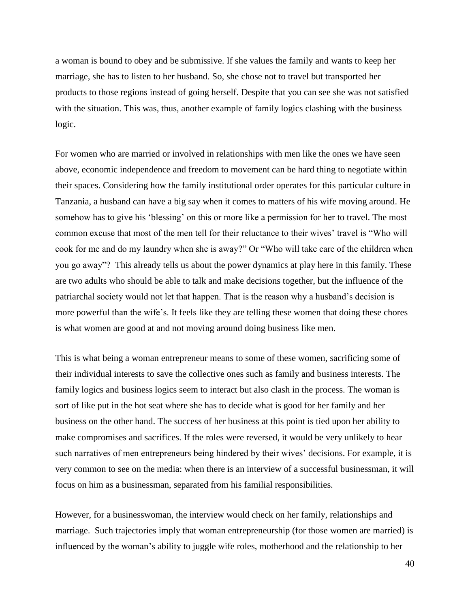a woman is bound to obey and be submissive. If she values the family and wants to keep her marriage, she has to listen to her husband. So, she chose not to travel but transported her products to those regions instead of going herself. Despite that you can see she was not satisfied with the situation. This was, thus, another example of family logics clashing with the business logic.

For women who are married or involved in relationships with men like the ones we have seen above, economic independence and freedom to movement can be hard thing to negotiate within their spaces. Considering how the family institutional order operates for this particular culture in Tanzania, a husband can have a big say when it comes to matters of his wife moving around. He somehow has to give his 'blessing' on this or more like a permission for her to travel. The most common excuse that most of the men tell for their reluctance to their wives' travel is "Who will cook for me and do my laundry when she is away?" Or "Who will take care of the children when you go away"? This already tells us about the power dynamics at play here in this family. These are two adults who should be able to talk and make decisions together, but the influence of the patriarchal society would not let that happen. That is the reason why a husband's decision is more powerful than the wife's. It feels like they are telling these women that doing these chores is what women are good at and not moving around doing business like men.

This is what being a woman entrepreneur means to some of these women, sacrificing some of their individual interests to save the collective ones such as family and business interests. The family logics and business logics seem to interact but also clash in the process. The woman is sort of like put in the hot seat where she has to decide what is good for her family and her business on the other hand. The success of her business at this point is tied upon her ability to make compromises and sacrifices. If the roles were reversed, it would be very unlikely to hear such narratives of men entrepreneurs being hindered by their wives' decisions. For example, it is very common to see on the media: when there is an interview of a successful businessman, it will focus on him as a businessman, separated from his familial responsibilities.

However, for a businesswoman, the interview would check on her family, relationships and marriage. Such trajectories imply that woman entrepreneurship (for those women are married) is influenced by the woman's ability to juggle wife roles, motherhood and the relationship to her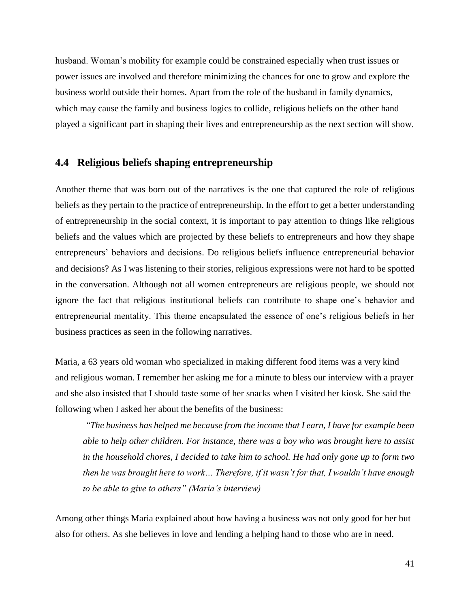husband. Woman's mobility for example could be constrained especially when trust issues or power issues are involved and therefore minimizing the chances for one to grow and explore the business world outside their homes. Apart from the role of the husband in family dynamics, which may cause the family and business logics to collide, religious beliefs on the other hand played a significant part in shaping their lives and entrepreneurship as the next section will show.

#### **4.4 Religious beliefs shaping entrepreneurship**

Another theme that was born out of the narratives is the one that captured the role of religious beliefs as they pertain to the practice of entrepreneurship. In the effort to get a better understanding of entrepreneurship in the social context, it is important to pay attention to things like religious beliefs and the values which are projected by these beliefs to entrepreneurs and how they shape entrepreneurs' behaviors and decisions. Do religious beliefs influence entrepreneurial behavior and decisions? As I was listening to their stories, religious expressions were not hard to be spotted in the conversation. Although not all women entrepreneurs are religious people, we should not ignore the fact that religious institutional beliefs can contribute to shape one's behavior and entrepreneurial mentality. This theme encapsulated the essence of one's religious beliefs in her business practices as seen in the following narratives.

Maria, a 63 years old woman who specialized in making different food items was a very kind and religious woman. I remember her asking me for a minute to bless our interview with a prayer and she also insisted that I should taste some of her snacks when I visited her kiosk. She said the following when I asked her about the benefits of the business:

*"The business has helped me because from the income that I earn, I have for example been able to help other children. For instance, there was a boy who was brought here to assist in the household chores, I decided to take him to school. He had only gone up to form two then he was brought here to work… Therefore, if it wasn't for that, I wouldn't have enough to be able to give to others" (Maria's interview)*

Among other things Maria explained about how having a business was not only good for her but also for others. As she believes in love and lending a helping hand to those who are in need.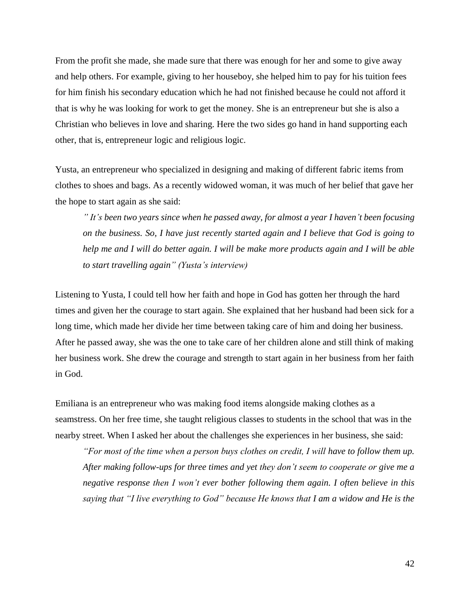From the profit she made, she made sure that there was enough for her and some to give away and help others. For example, giving to her houseboy, she helped him to pay for his tuition fees for him finish his secondary education which he had not finished because he could not afford it that is why he was looking for work to get the money. She is an entrepreneur but she is also a Christian who believes in love and sharing. Here the two sides go hand in hand supporting each other, that is, entrepreneur logic and religious logic.

Yusta, an entrepreneur who specialized in designing and making of different fabric items from clothes to shoes and bags. As a recently widowed woman, it was much of her belief that gave her the hope to start again as she said:

*" It's been two years since when he passed away, for almost a year I haven't been focusing on the business. So, I have just recently started again and I believe that God is going to help me and I will do better again. I will be make more products again and I will be able to start travelling again" (Yusta's interview)*

Listening to Yusta, I could tell how her faith and hope in God has gotten her through the hard times and given her the courage to start again. She explained that her husband had been sick for a long time, which made her divide her time between taking care of him and doing her business. After he passed away, she was the one to take care of her children alone and still think of making her business work. She drew the courage and strength to start again in her business from her faith in God.

Emiliana is an entrepreneur who was making food items alongside making clothes as a seamstress. On her free time, she taught religious classes to students in the school that was in the nearby street. When I asked her about the challenges she experiences in her business, she said:

*"For most of the time when a person buys clothes on credit, I will have to follow them up. After making follow-ups for three times and yet they don't seem to cooperate or give me a negative response then I won't ever bother following them again. I often believe in this saying that "I live everything to God" because He knows that I am a widow and He is the*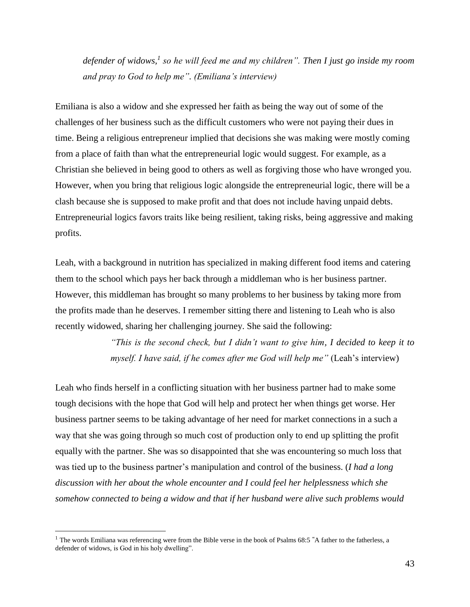*defender of widows,<sup>1</sup> so he will feed me and my children". Then I just go inside my room and pray to God to help me". (Emiliana's interview)*

Emiliana is also a widow and she expressed her faith as being the way out of some of the challenges of her business such as the difficult customers who were not paying their dues in time. Being a religious entrepreneur implied that decisions she was making were mostly coming from a place of faith than what the entrepreneurial logic would suggest. For example, as a Christian she believed in being good to others as well as forgiving those who have wronged you. However, when you bring that religious logic alongside the entrepreneurial logic, there will be a clash because she is supposed to make profit and that does not include having unpaid debts. Entrepreneurial logics favors traits like being resilient, taking risks, being aggressive and making profits.

Leah, with a background in nutrition has specialized in making different food items and catering them to the school which pays her back through a middleman who is her business partner. However, this middleman has brought so many problems to her business by taking more from the profits made than he deserves. I remember sitting there and listening to Leah who is also recently widowed, sharing her challenging journey. She said the following:

> *"This is the second check, but I didn't want to give him, I decided to keep it to myself. I have said, if he comes after me God will help me"* (Leah's interview)

Leah who finds herself in a conflicting situation with her business partner had to make some tough decisions with the hope that God will help and protect her when things get worse. Her business partner seems to be taking advantage of her need for market connections in a such a way that she was going through so much cost of production only to end up splitting the profit equally with the partner. She was so disappointed that she was encountering so much loss that was tied up to the business partner's manipulation and control of the business. (*I had a long discussion with her about the whole encounter and I could feel her helplessness which she somehow connected to being a widow and that if her husband were alive such problems would* 

 $\overline{a}$ 

<sup>1</sup> The words Emiliana was referencing were from the Bible verse in the book of Psalms 68:5 **"**A father to the fatherless, a defender of widows, is God in his holy dwelling".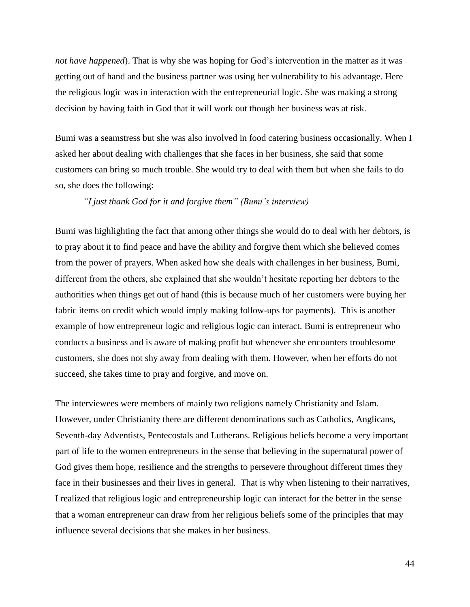*not have happened*). That is why she was hoping for God's intervention in the matter as it was getting out of hand and the business partner was using her vulnerability to his advantage. Here the religious logic was in interaction with the entrepreneurial logic. She was making a strong decision by having faith in God that it will work out though her business was at risk.

Bumi was a seamstress but she was also involved in food catering business occasionally. When I asked her about dealing with challenges that she faces in her business, she said that some customers can bring so much trouble. She would try to deal with them but when she fails to do so, she does the following:

#### *"I just thank God for it and forgive them" (Bumi's interview)*

Bumi was highlighting the fact that among other things she would do to deal with her debtors, is to pray about it to find peace and have the ability and forgive them which she believed comes from the power of prayers. When asked how she deals with challenges in her business, Bumi, different from the others, she explained that she wouldn't hesitate reporting her debtors to the authorities when things get out of hand (this is because much of her customers were buying her fabric items on credit which would imply making follow-ups for payments). This is another example of how entrepreneur logic and religious logic can interact. Bumi is entrepreneur who conducts a business and is aware of making profit but whenever she encounters troublesome customers, she does not shy away from dealing with them. However, when her efforts do not succeed, she takes time to pray and forgive, and move on.

The interviewees were members of mainly two religions namely Christianity and Islam. However, under Christianity there are different denominations such as Catholics, Anglicans, Seventh-day Adventists, Pentecostals and Lutherans. Religious beliefs become a very important part of life to the women entrepreneurs in the sense that believing in the supernatural power of God gives them hope, resilience and the strengths to persevere throughout different times they face in their businesses and their lives in general. That is why when listening to their narratives, I realized that religious logic and entrepreneurship logic can interact for the better in the sense that a woman entrepreneur can draw from her religious beliefs some of the principles that may influence several decisions that she makes in her business.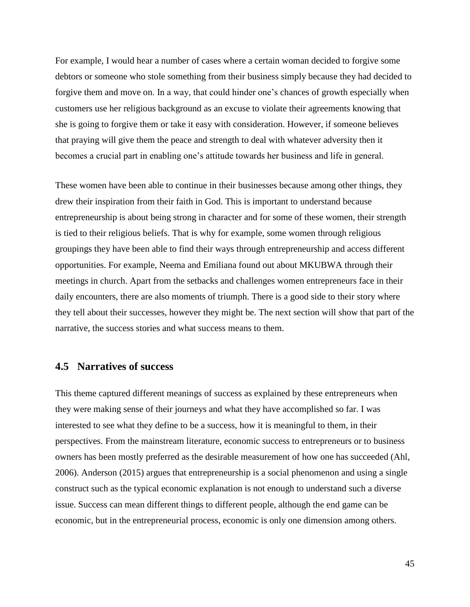For example, I would hear a number of cases where a certain woman decided to forgive some debtors or someone who stole something from their business simply because they had decided to forgive them and move on. In a way, that could hinder one's chances of growth especially when customers use her religious background as an excuse to violate their agreements knowing that she is going to forgive them or take it easy with consideration. However, if someone believes that praying will give them the peace and strength to deal with whatever adversity then it becomes a crucial part in enabling one's attitude towards her business and life in general.

These women have been able to continue in their businesses because among other things, they drew their inspiration from their faith in God. This is important to understand because entrepreneurship is about being strong in character and for some of these women, their strength is tied to their religious beliefs. That is why for example, some women through religious groupings they have been able to find their ways through entrepreneurship and access different opportunities. For example, Neema and Emiliana found out about MKUBWA through their meetings in church. Apart from the setbacks and challenges women entrepreneurs face in their daily encounters, there are also moments of triumph. There is a good side to their story where they tell about their successes, however they might be. The next section will show that part of the narrative, the success stories and what success means to them.

### **4.5 Narratives of success**

This theme captured different meanings of success as explained by these entrepreneurs when they were making sense of their journeys and what they have accomplished so far. I was interested to see what they define to be a success, how it is meaningful to them, in their perspectives. From the mainstream literature, economic success to entrepreneurs or to business owners has been mostly preferred as the desirable measurement of how one has succeeded (Ahl, 2006). Anderson (2015) argues that entrepreneurship is a social phenomenon and using a single construct such as the typical economic explanation is not enough to understand such a diverse issue. Success can mean different things to different people, although the end game can be economic, but in the entrepreneurial process, economic is only one dimension among others.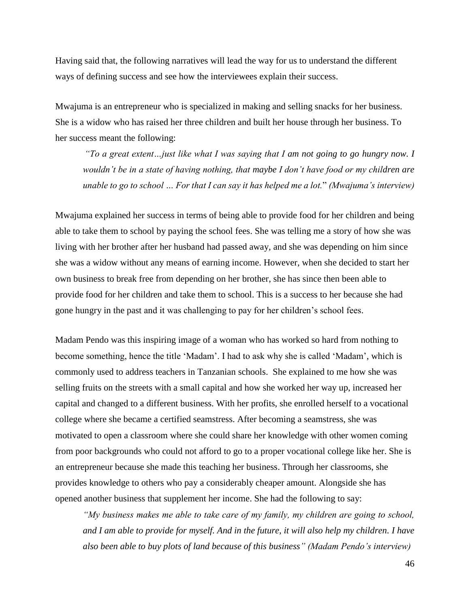Having said that, the following narratives will lead the way for us to understand the different ways of defining success and see how the interviewees explain their success.

Mwajuma is an entrepreneur who is specialized in making and selling snacks for her business. She is a widow who has raised her three children and built her house through her business. To her success meant the following:

*"To a great extent…just like what I was saying that I am not going to go hungry now. I wouldn't be in a state of having nothing, that maybe I don't have food or my children are unable to go to school … For that I can say it has helped me a lot.*" *(Mwajuma's interview)*

Mwajuma explained her success in terms of being able to provide food for her children and being able to take them to school by paying the school fees. She was telling me a story of how she was living with her brother after her husband had passed away, and she was depending on him since she was a widow without any means of earning income. However, when she decided to start her own business to break free from depending on her brother, she has since then been able to provide food for her children and take them to school. This is a success to her because she had gone hungry in the past and it was challenging to pay for her children's school fees.

Madam Pendo was this inspiring image of a woman who has worked so hard from nothing to become something, hence the title 'Madam'. I had to ask why she is called 'Madam', which is commonly used to address teachers in Tanzanian schools. She explained to me how she was selling fruits on the streets with a small capital and how she worked her way up, increased her capital and changed to a different business. With her profits, she enrolled herself to a vocational college where she became a certified seamstress. After becoming a seamstress, she was motivated to open a classroom where she could share her knowledge with other women coming from poor backgrounds who could not afford to go to a proper vocational college like her. She is an entrepreneur because she made this teaching her business. Through her classrooms, she provides knowledge to others who pay a considerably cheaper amount. Alongside she has opened another business that supplement her income. She had the following to say:

*"My business makes me able to take care of my family, my children are going to school, and I am able to provide for myself. And in the future, it will also help my children. I have also been able to buy plots of land because of this business" (Madam Pendo's interview)*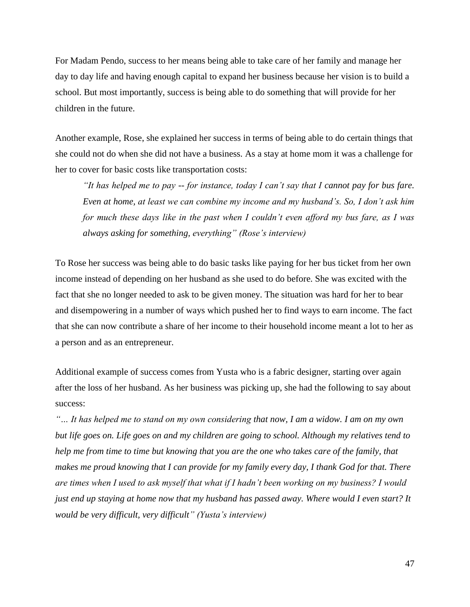For Madam Pendo, success to her means being able to take care of her family and manage her day to day life and having enough capital to expand her business because her vision is to build a school. But most importantly, success is being able to do something that will provide for her children in the future.

Another example, Rose, she explained her success in terms of being able to do certain things that she could not do when she did not have a business. As a stay at home mom it was a challenge for her to cover for basic costs like transportation costs:

*"It has helped me to pay -- for instance, today I can't say that I cannot pay for bus fare. Even at home, at least we can combine my income and my husband's. So, I don't ask him for much these days like in the past when I couldn't even afford my bus fare, as I was always asking for something, everything" (Rose's interview)*

To Rose her success was being able to do basic tasks like paying for her bus ticket from her own income instead of depending on her husband as she used to do before. She was excited with the fact that she no longer needed to ask to be given money. The situation was hard for her to bear and disempowering in a number of ways which pushed her to find ways to earn income. The fact that she can now contribute a share of her income to their household income meant a lot to her as a person and as an entrepreneur.

Additional example of success comes from Yusta who is a fabric designer, starting over again after the loss of her husband. As her business was picking up, she had the following to say about success:

*"… It has helped me to stand on my own considering that now, I am a widow. I am on my own but life goes on. Life goes on and my children are going to school. Although my relatives tend to help me from time to time but knowing that you are the one who takes care of the family, that makes me proud knowing that I can provide for my family every day, I thank God for that. There are times when I used to ask myself that what if I hadn't been working on my business? I would just end up staying at home now that my husband has passed away. Where would I even start? It would be very difficult, very difficult" (Yusta's interview)*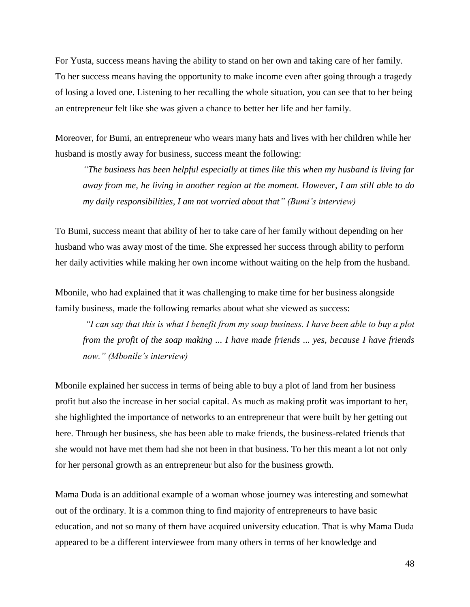For Yusta, success means having the ability to stand on her own and taking care of her family. To her success means having the opportunity to make income even after going through a tragedy of losing a loved one. Listening to her recalling the whole situation, you can see that to her being an entrepreneur felt like she was given a chance to better her life and her family.

Moreover, for Bumi, an entrepreneur who wears many hats and lives with her children while her husband is mostly away for business, success meant the following:

*"The business has been helpful especially at times like this when my husband is living far away from me, he living in another region at the moment. However, I am still able to do my daily responsibilities, I am not worried about that" (Bumi's interview)*

To Bumi, success meant that ability of her to take care of her family without depending on her husband who was away most of the time. She expressed her success through ability to perform her daily activities while making her own income without waiting on the help from the husband.

Mbonile, who had explained that it was challenging to make time for her business alongside family business, made the following remarks about what she viewed as success:

*"I can say that this is what I benefit from my soap business. I have been able to buy a plot from the profit of the soap making ... I have made friends ... yes, because I have friends now." (Mbonile's interview)*

Mbonile explained her success in terms of being able to buy a plot of land from her business profit but also the increase in her social capital. As much as making profit was important to her, she highlighted the importance of networks to an entrepreneur that were built by her getting out here. Through her business, she has been able to make friends, the business-related friends that she would not have met them had she not been in that business. To her this meant a lot not only for her personal growth as an entrepreneur but also for the business growth.

Mama Duda is an additional example of a woman whose journey was interesting and somewhat out of the ordinary. It is a common thing to find majority of entrepreneurs to have basic education, and not so many of them have acquired university education. That is why Mama Duda appeared to be a different interviewee from many others in terms of her knowledge and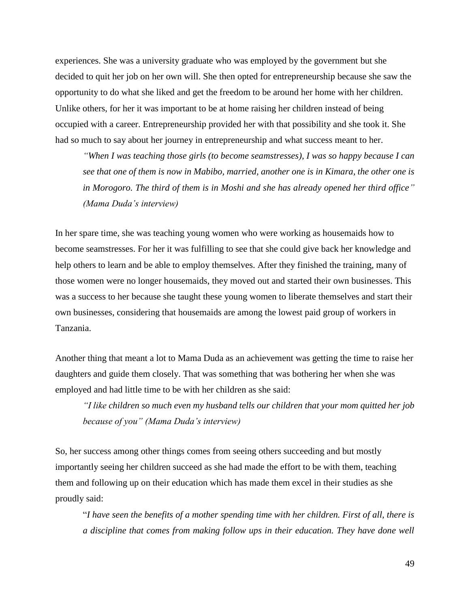experiences. She was a university graduate who was employed by the government but she decided to quit her job on her own will. She then opted for entrepreneurship because she saw the opportunity to do what she liked and get the freedom to be around her home with her children. Unlike others, for her it was important to be at home raising her children instead of being occupied with a career. Entrepreneurship provided her with that possibility and she took it. She had so much to say about her journey in entrepreneurship and what success meant to her.

*"When I was teaching those girls (to become seamstresses), I was so happy because I can see that one of them is now in Mabibo, married, another one is in Kimara, the other one is in Morogoro. The third of them is in Moshi and she has already opened her third office" (Mama Duda's interview)*

In her spare time, she was teaching young women who were working as housemaids how to become seamstresses. For her it was fulfilling to see that she could give back her knowledge and help others to learn and be able to employ themselves. After they finished the training, many of those women were no longer housemaids, they moved out and started their own businesses. This was a success to her because she taught these young women to liberate themselves and start their own businesses, considering that housemaids are among the lowest paid group of workers in Tanzania.

Another thing that meant a lot to Mama Duda as an achievement was getting the time to raise her daughters and guide them closely. That was something that was bothering her when she was employed and had little time to be with her children as she said:

*"I like children so much even my husband tells our children that your mom quitted her job because of you" (Mama Duda's interview)*

So, her success among other things comes from seeing others succeeding and but mostly importantly seeing her children succeed as she had made the effort to be with them, teaching them and following up on their education which has made them excel in their studies as she proudly said:

"*I have seen the benefits of a mother spending time with her children. First of all, there is a discipline that comes from making follow ups in their education. They have done well*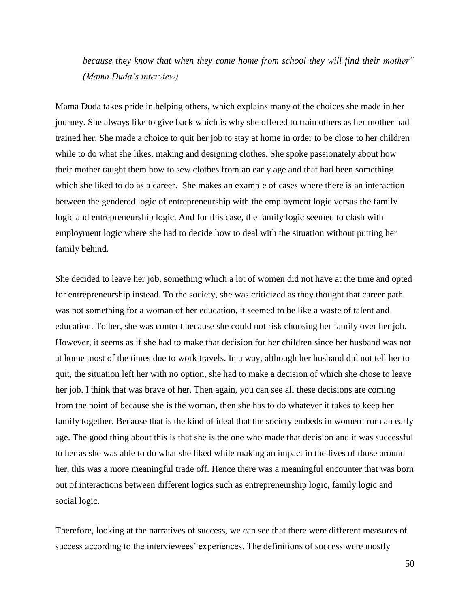*because they know that when they come home from school they will find their mother" (Mama Duda's interview)*

Mama Duda takes pride in helping others, which explains many of the choices she made in her journey. She always like to give back which is why she offered to train others as her mother had trained her. She made a choice to quit her job to stay at home in order to be close to her children while to do what she likes, making and designing clothes. She spoke passionately about how their mother taught them how to sew clothes from an early age and that had been something which she liked to do as a career. She makes an example of cases where there is an interaction between the gendered logic of entrepreneurship with the employment logic versus the family logic and entrepreneurship logic. And for this case, the family logic seemed to clash with employment logic where she had to decide how to deal with the situation without putting her family behind.

She decided to leave her job, something which a lot of women did not have at the time and opted for entrepreneurship instead. To the society, she was criticized as they thought that career path was not something for a woman of her education, it seemed to be like a waste of talent and education. To her, she was content because she could not risk choosing her family over her job. However, it seems as if she had to make that decision for her children since her husband was not at home most of the times due to work travels. In a way, although her husband did not tell her to quit, the situation left her with no option, she had to make a decision of which she chose to leave her job. I think that was brave of her. Then again, you can see all these decisions are coming from the point of because she is the woman, then she has to do whatever it takes to keep her family together. Because that is the kind of ideal that the society embeds in women from an early age. The good thing about this is that she is the one who made that decision and it was successful to her as she was able to do what she liked while making an impact in the lives of those around her, this was a more meaningful trade off. Hence there was a meaningful encounter that was born out of interactions between different logics such as entrepreneurship logic, family logic and social logic.

Therefore, looking at the narratives of success, we can see that there were different measures of success according to the interviewees' experiences. The definitions of success were mostly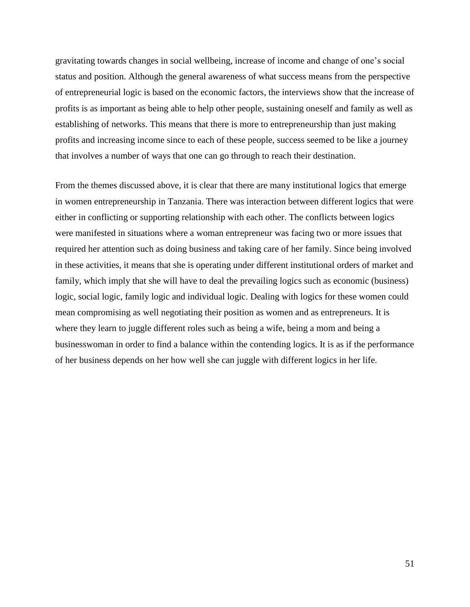gravitating towards changes in social wellbeing, increase of income and change of one's social status and position. Although the general awareness of what success means from the perspective of entrepreneurial logic is based on the economic factors, the interviews show that the increase of profits is as important as being able to help other people, sustaining oneself and family as well as establishing of networks. This means that there is more to entrepreneurship than just making profits and increasing income since to each of these people, success seemed to be like a journey that involves a number of ways that one can go through to reach their destination.

From the themes discussed above, it is clear that there are many institutional logics that emerge in women entrepreneurship in Tanzania. There was interaction between different logics that were either in conflicting or supporting relationship with each other. The conflicts between logics were manifested in situations where a woman entrepreneur was facing two or more issues that required her attention such as doing business and taking care of her family. Since being involved in these activities, it means that she is operating under different institutional orders of market and family, which imply that she will have to deal the prevailing logics such as economic (business) logic, social logic, family logic and individual logic. Dealing with logics for these women could mean compromising as well negotiating their position as women and as entrepreneurs. It is where they learn to juggle different roles such as being a wife, being a mom and being a businesswoman in order to find a balance within the contending logics. It is as if the performance of her business depends on her how well she can juggle with different logics in her life.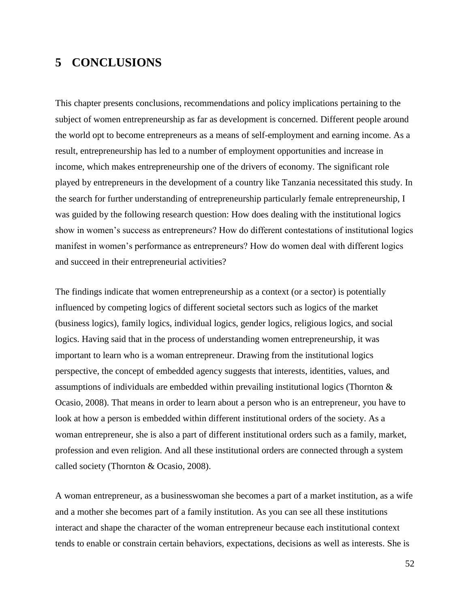## **5 CONCLUSIONS**

This chapter presents conclusions, recommendations and policy implications pertaining to the subject of women entrepreneurship as far as development is concerned. Different people around the world opt to become entrepreneurs as a means of self-employment and earning income. As a result, entrepreneurship has led to a number of employment opportunities and increase in income, which makes entrepreneurship one of the drivers of economy. The significant role played by entrepreneurs in the development of a country like Tanzania necessitated this study. In the search for further understanding of entrepreneurship particularly female entrepreneurship, I was guided by the following research question: How does dealing with the institutional logics show in women's success as entrepreneurs? How do different contestations of institutional logics manifest in women's performance as entrepreneurs? How do women deal with different logics and succeed in their entrepreneurial activities?

The findings indicate that women entrepreneurship as a context (or a sector) is potentially influenced by competing logics of different societal sectors such as logics of the market (business logics), family logics, individual logics, gender logics, religious logics, and social logics. Having said that in the process of understanding women entrepreneurship, it was important to learn who is a woman entrepreneur. Drawing from the institutional logics perspective, the concept of embedded agency suggests that interests, identities, values, and assumptions of individuals are embedded within prevailing institutional logics (Thornton & Ocasio, 2008). That means in order to learn about a person who is an entrepreneur, you have to look at how a person is embedded within different institutional orders of the society. As a woman entrepreneur, she is also a part of different institutional orders such as a family, market, profession and even religion. And all these institutional orders are connected through a system called society (Thornton & Ocasio, 2008).

A woman entrepreneur, as a businesswoman she becomes a part of a market institution, as a wife and a mother she becomes part of a family institution. As you can see all these institutions interact and shape the character of the woman entrepreneur because each institutional context tends to enable or constrain certain behaviors, expectations, decisions as well as interests. She is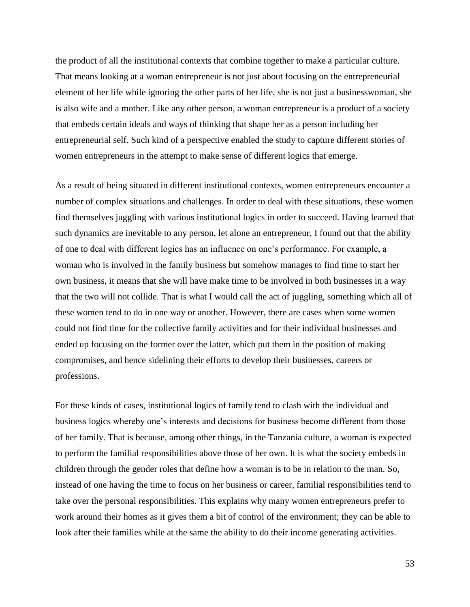the product of all the institutional contexts that combine together to make a particular culture. That means looking at a woman entrepreneur is not just about focusing on the entrepreneurial element of her life while ignoring the other parts of her life, she is not just a businesswoman, she is also wife and a mother. Like any other person, a woman entrepreneur is a product of a society that embeds certain ideals and ways of thinking that shape her as a person including her entrepreneurial self. Such kind of a perspective enabled the study to capture different stories of women entrepreneurs in the attempt to make sense of different logics that emerge.

As a result of being situated in different institutional contexts, women entrepreneurs encounter a number of complex situations and challenges. In order to deal with these situations, these women find themselves juggling with various institutional logics in order to succeed. Having learned that such dynamics are inevitable to any person, let alone an entrepreneur, I found out that the ability of one to deal with different logics has an influence on one's performance. For example, a woman who is involved in the family business but somehow manages to find time to start her own business, it means that she will have make time to be involved in both businesses in a way that the two will not collide. That is what I would call the act of juggling, something which all of these women tend to do in one way or another. However, there are cases when some women could not find time for the collective family activities and for their individual businesses and ended up focusing on the former over the latter, which put them in the position of making compromises, and hence sidelining their efforts to develop their businesses, careers or professions.

For these kinds of cases, institutional logics of family tend to clash with the individual and business logics whereby one's interests and decisions for business become different from those of her family. That is because, among other things, in the Tanzania culture, a woman is expected to perform the familial responsibilities above those of her own. It is what the society embeds in children through the gender roles that define how a woman is to be in relation to the man. So, instead of one having the time to focus on her business or career, familial responsibilities tend to take over the personal responsibilities. This explains why many women entrepreneurs prefer to work around their homes as it gives them a bit of control of the environment; they can be able to look after their families while at the same the ability to do their income generating activities.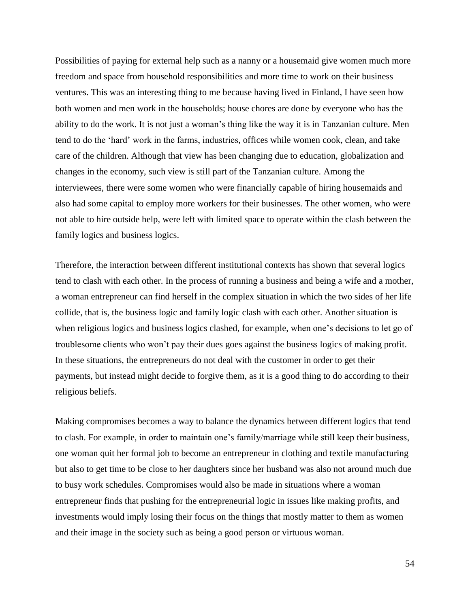Possibilities of paying for external help such as a nanny or a housemaid give women much more freedom and space from household responsibilities and more time to work on their business ventures. This was an interesting thing to me because having lived in Finland, I have seen how both women and men work in the households; house chores are done by everyone who has the ability to do the work. It is not just a woman's thing like the way it is in Tanzanian culture. Men tend to do the 'hard' work in the farms, industries, offices while women cook, clean, and take care of the children. Although that view has been changing due to education, globalization and changes in the economy, such view is still part of the Tanzanian culture. Among the interviewees, there were some women who were financially capable of hiring housemaids and also had some capital to employ more workers for their businesses. The other women, who were not able to hire outside help, were left with limited space to operate within the clash between the family logics and business logics.

Therefore, the interaction between different institutional contexts has shown that several logics tend to clash with each other. In the process of running a business and being a wife and a mother, a woman entrepreneur can find herself in the complex situation in which the two sides of her life collide, that is, the business logic and family logic clash with each other. Another situation is when religious logics and business logics clashed, for example, when one's decisions to let go of troublesome clients who won't pay their dues goes against the business logics of making profit. In these situations, the entrepreneurs do not deal with the customer in order to get their payments, but instead might decide to forgive them, as it is a good thing to do according to their religious beliefs.

Making compromises becomes a way to balance the dynamics between different logics that tend to clash. For example, in order to maintain one's family/marriage while still keep their business, one woman quit her formal job to become an entrepreneur in clothing and textile manufacturing but also to get time to be close to her daughters since her husband was also not around much due to busy work schedules. Compromises would also be made in situations where a woman entrepreneur finds that pushing for the entrepreneurial logic in issues like making profits, and investments would imply losing their focus on the things that mostly matter to them as women and their image in the society such as being a good person or virtuous woman.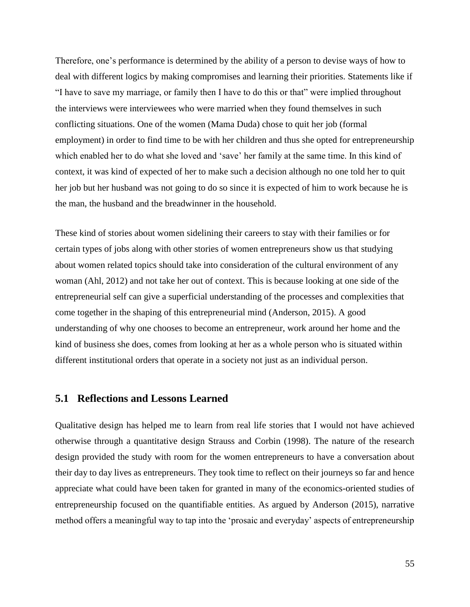Therefore, one's performance is determined by the ability of a person to devise ways of how to deal with different logics by making compromises and learning their priorities. Statements like if "I have to save my marriage, or family then I have to do this or that" were implied throughout the interviews were interviewees who were married when they found themselves in such conflicting situations. One of the women (Mama Duda) chose to quit her job (formal employment) in order to find time to be with her children and thus she opted for entrepreneurship which enabled her to do what she loved and 'save' her family at the same time. In this kind of context, it was kind of expected of her to make such a decision although no one told her to quit her job but her husband was not going to do so since it is expected of him to work because he is the man, the husband and the breadwinner in the household.

These kind of stories about women sidelining their careers to stay with their families or for certain types of jobs along with other stories of women entrepreneurs show us that studying about women related topics should take into consideration of the cultural environment of any woman (Ahl, 2012) and not take her out of context. This is because looking at one side of the entrepreneurial self can give a superficial understanding of the processes and complexities that come together in the shaping of this entrepreneurial mind (Anderson, 2015). A good understanding of why one chooses to become an entrepreneur, work around her home and the kind of business she does, comes from looking at her as a whole person who is situated within different institutional orders that operate in a society not just as an individual person.

### **5.1 Reflections and Lessons Learned**

Qualitative design has helped me to learn from real life stories that I would not have achieved otherwise through a quantitative design Strauss and Corbin (1998). The nature of the research design provided the study with room for the women entrepreneurs to have a conversation about their day to day lives as entrepreneurs. They took time to reflect on their journeys so far and hence appreciate what could have been taken for granted in many of the economics-oriented studies of entrepreneurship focused on the quantifiable entities. As argued by Anderson (2015), narrative method offers a meaningful way to tap into the 'prosaic and everyday' aspects of entrepreneurship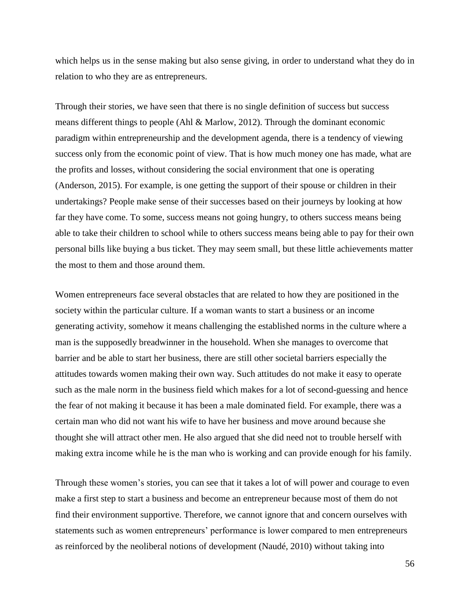which helps us in the sense making but also sense giving, in order to understand what they do in relation to who they are as entrepreneurs.

Through their stories, we have seen that there is no single definition of success but success means different things to people (Ahl & Marlow, 2012). Through the dominant economic paradigm within entrepreneurship and the development agenda, there is a tendency of viewing success only from the economic point of view. That is how much money one has made, what are the profits and losses, without considering the social environment that one is operating (Anderson, 2015). For example, is one getting the support of their spouse or children in their undertakings? People make sense of their successes based on their journeys by looking at how far they have come. To some, success means not going hungry, to others success means being able to take their children to school while to others success means being able to pay for their own personal bills like buying a bus ticket. They may seem small, but these little achievements matter the most to them and those around them.

Women entrepreneurs face several obstacles that are related to how they are positioned in the society within the particular culture. If a woman wants to start a business or an income generating activity, somehow it means challenging the established norms in the culture where a man is the supposedly breadwinner in the household. When she manages to overcome that barrier and be able to start her business, there are still other societal barriers especially the attitudes towards women making their own way. Such attitudes do not make it easy to operate such as the male norm in the business field which makes for a lot of second-guessing and hence the fear of not making it because it has been a male dominated field. For example, there was a certain man who did not want his wife to have her business and move around because she thought she will attract other men. He also argued that she did need not to trouble herself with making extra income while he is the man who is working and can provide enough for his family.

Through these women's stories, you can see that it takes a lot of will power and courage to even make a first step to start a business and become an entrepreneur because most of them do not find their environment supportive. Therefore, we cannot ignore that and concern ourselves with statements such as women entrepreneurs' performance is lower compared to men entrepreneurs as reinforced by the neoliberal notions of development (Naudé, 2010) without taking into

56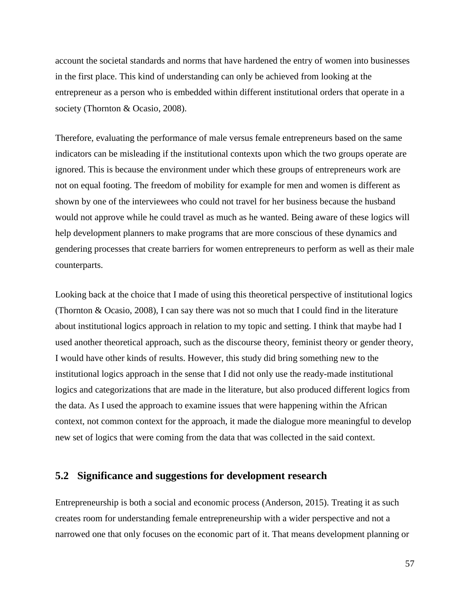account the societal standards and norms that have hardened the entry of women into businesses in the first place. This kind of understanding can only be achieved from looking at the entrepreneur as a person who is embedded within different institutional orders that operate in a society (Thornton & Ocasio, 2008).

Therefore, evaluating the performance of male versus female entrepreneurs based on the same indicators can be misleading if the institutional contexts upon which the two groups operate are ignored. This is because the environment under which these groups of entrepreneurs work are not on equal footing. The freedom of mobility for example for men and women is different as shown by one of the interviewees who could not travel for her business because the husband would not approve while he could travel as much as he wanted. Being aware of these logics will help development planners to make programs that are more conscious of these dynamics and gendering processes that create barriers for women entrepreneurs to perform as well as their male counterparts.

Looking back at the choice that I made of using this theoretical perspective of institutional logics (Thornton & Ocasio, 2008), I can say there was not so much that I could find in the literature about institutional logics approach in relation to my topic and setting. I think that maybe had I used another theoretical approach, such as the discourse theory, feminist theory or gender theory, I would have other kinds of results. However, this study did bring something new to the institutional logics approach in the sense that I did not only use the ready-made institutional logics and categorizations that are made in the literature, but also produced different logics from the data. As I used the approach to examine issues that were happening within the African context, not common context for the approach, it made the dialogue more meaningful to develop new set of logics that were coming from the data that was collected in the said context.

### **5.2 Significance and suggestions for development research**

Entrepreneurship is both a social and economic process (Anderson, 2015). Treating it as such creates room for understanding female entrepreneurship with a wider perspective and not a narrowed one that only focuses on the economic part of it. That means development planning or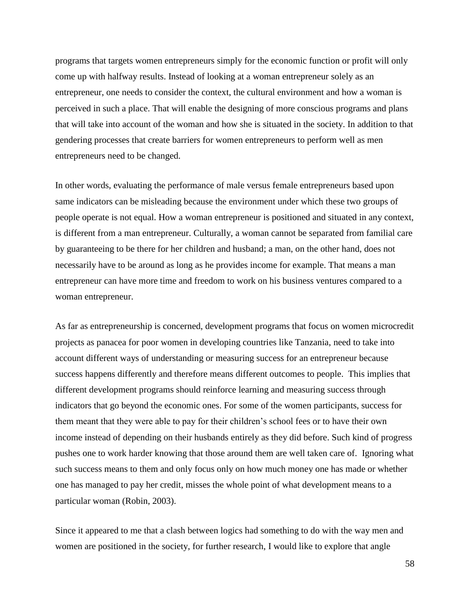programs that targets women entrepreneurs simply for the economic function or profit will only come up with halfway results. Instead of looking at a woman entrepreneur solely as an entrepreneur, one needs to consider the context, the cultural environment and how a woman is perceived in such a place. That will enable the designing of more conscious programs and plans that will take into account of the woman and how she is situated in the society. In addition to that gendering processes that create barriers for women entrepreneurs to perform well as men entrepreneurs need to be changed.

In other words, evaluating the performance of male versus female entrepreneurs based upon same indicators can be misleading because the environment under which these two groups of people operate is not equal. How a woman entrepreneur is positioned and situated in any context, is different from a man entrepreneur. Culturally, a woman cannot be separated from familial care by guaranteeing to be there for her children and husband; a man, on the other hand, does not necessarily have to be around as long as he provides income for example. That means a man entrepreneur can have more time and freedom to work on his business ventures compared to a woman entrepreneur.

As far as entrepreneurship is concerned, development programs that focus on women microcredit projects as panacea for poor women in developing countries like Tanzania, need to take into account different ways of understanding or measuring success for an entrepreneur because success happens differently and therefore means different outcomes to people. This implies that different development programs should reinforce learning and measuring success through indicators that go beyond the economic ones. For some of the women participants, success for them meant that they were able to pay for their children's school fees or to have their own income instead of depending on their husbands entirely as they did before. Such kind of progress pushes one to work harder knowing that those around them are well taken care of. Ignoring what such success means to them and only focus only on how much money one has made or whether one has managed to pay her credit, misses the whole point of what development means to a particular woman (Robin, 2003).

Since it appeared to me that a clash between logics had something to do with the way men and women are positioned in the society, for further research, I would like to explore that angle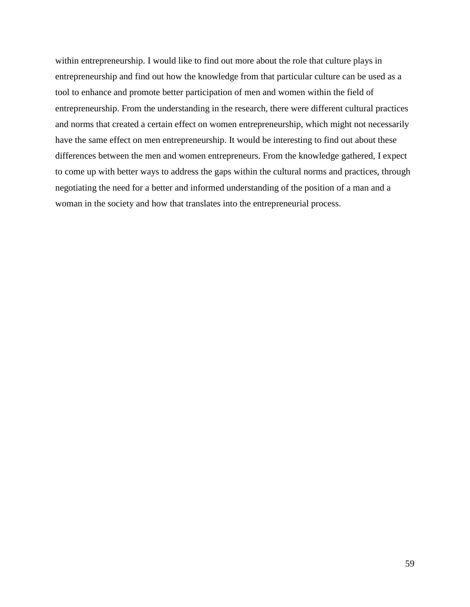within entrepreneurship. I would like to find out more about the role that culture plays in entrepreneurship and find out how the knowledge from that particular culture can be used as a tool to enhance and promote better participation of men and women within the field of entrepreneurship. From the understanding in the research, there were different cultural practices and norms that created a certain effect on women entrepreneurship, which might not necessarily have the same effect on men entrepreneurship. It would be interesting to find out about these differences between the men and women entrepreneurs. From the knowledge gathered, I expect to come up with better ways to address the gaps within the cultural norms and practices, through negotiating the need for a better and informed understanding of the position of a man and a woman in the society and how that translates into the entrepreneurial process.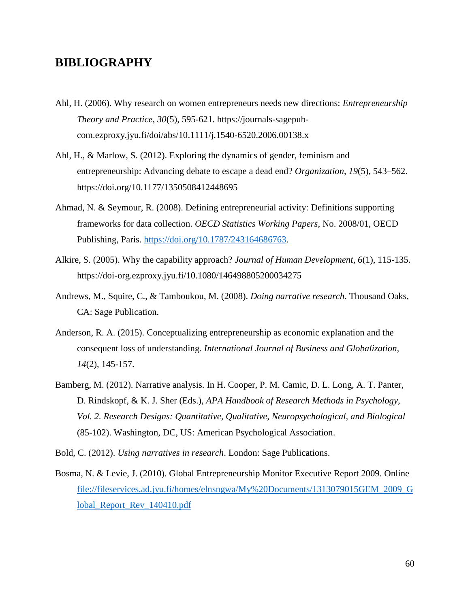### **BIBLIOGRAPHY**

- Ahl, H. (2006). Why research on women entrepreneurs needs new directions: *Entrepreneurship Theory and Practice, 30*(5), 595-621. https://journals-sagepubcom.ezproxy.jyu.fi/doi/abs/10.1111/j.1540-6520.2006.00138.x
- Ahl, H., & Marlow, S. (2012). Exploring the dynamics of gender, feminism and entrepreneurship: Advancing debate to escape a dead end? *Organization*, *19*(5), 543–562. https://doi.org/10.1177/1350508412448695
- Ahmad, N. & Seymour, R. (2008). Defining entrepreneurial activity: Definitions supporting frameworks for data collection. *OECD Statistics Working Papers*, No. 2008/01, OECD Publishing, Paris. [https://doi.org/10.1787/243164686763.](https://doi.org/10.1787/243164686763)
- Alkire, S. (2005). Why the capability approach? *Journal of Human Development, 6*(1), 115-135. https://doi-org.ezproxy.jyu.fi/10.1080/146498805200034275
- Andrews, M., Squire, C., & Tamboukou, M. (2008). *Doing narrative research*. Thousand Oaks, CA: Sage Publication.
- Anderson, R. A. (2015). Conceptualizing entrepreneurship as economic explanation and the consequent loss of understanding. *International Journal of Business and Globalization, 14*(2), 145-157.
- Bamberg, M. (2012). Narrative analysis. In H. Cooper, P. M. Camic, D. L. Long, A. T. Panter, D. Rindskopf, & K. J. Sher (Eds.), *APA Handbook of Research Methods in Psychology, Vol. 2. Research Designs: Quantitative, Qualitative, Neuropsychological, and Biological* (85-102). Washington, DC, US: American Psychological Association.
- Bold, C. (2012). *Using narratives in research*. London: Sage Publications.
- Bosma, N. & Levie, J. (2010). Global Entrepreneurship Monitor Executive Report 2009. Online [file://fileservices.ad.jyu.fi/homes/elnsngwa/My%20Documents/1313079015GEM\\_2009\\_G](file://///fileservices.ad.jyu.fi/homes/elnsngwa/My%20Documents/1313079015GEM_2009_Global_Report_Rev_140410.pdf) lobal Report Rev 140410.pdf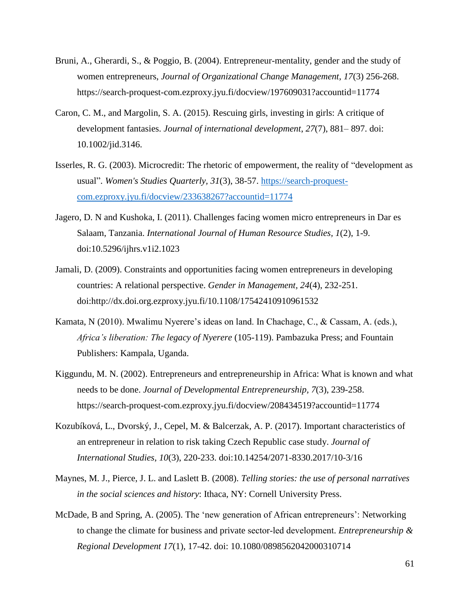- Bruni, A., Gherardi, S., & Poggio, B. (2004). Entrepreneur-mentality, gender and the study of women entrepreneurs, *Journal of Organizational Change Management, 17*(3) 256-268. https://search-proquest-com.ezproxy.jyu.fi/docview/197609031?accountid=11774
- Caron, C. M., and Margolin, S. A. (2015). Rescuing girls, investing in girls: A critique of development fantasies. *Journal of international development*, *27*(7), 881– 897. doi: 10.1002/jid.3146.
- Isserles, R. G. (2003). Microcredit: The rhetoric of empowerment, the reality of "development as usual". *Women's Studies Quarterly, 31*(3), 38-57. [https://search-proquest](https://search-proquest-com.ezproxy.jyu.fi/docview/233638267?accountid=11774)[com.ezproxy.jyu.fi/docview/233638267?accountid=11774](https://search-proquest-com.ezproxy.jyu.fi/docview/233638267?accountid=11774)
- Jagero, D. N and Kushoka, I. (2011). Challenges facing women micro entrepreneurs in Dar es Salaam, Tanzania. *International Journal of Human Resource Studies, 1*(2), 1-9. doi:10.5296/ijhrs.v1i2.1023
- Jamali, D. (2009). Constraints and opportunities facing women entrepreneurs in developing countries: A relational perspective. *Gender in Management, 24*(4), 232-251. doi:http://dx.doi.org.ezproxy.jyu.fi/10.1108/17542410910961532
- Kamata, N (2010). Mwalimu Nyerere's ideas on land. In Chachage, C., & Cassam, A. (eds.), *Africa's liberation: The legacy of Nyerere* (105-119). Pambazuka Press; and Fountain Publishers: Kampala, Uganda.
- Kiggundu, M. N. (2002). Entrepreneurs and entrepreneurship in Africa: What is known and what needs to be done. *Journal of Developmental Entrepreneurship, 7*(3), 239-258. https://search-proquest-com.ezproxy.jyu.fi/docview/208434519?accountid=11774
- Kozubíková, L., Dvorský, J., Cepel, M. & Balcerzak, A. P. (2017). Important characteristics of an entrepreneur in relation to risk taking Czech Republic case study. *Journal of International Studies*, *10*(3), 220-233. doi:10.14254/2071-8330.2017/10-3/16
- Maynes, M. J., Pierce, J. L. and Laslett B. (2008). *Telling stories: the use of personal narratives in the social sciences and history*: Ithaca, NY: Cornell University Press.
- McDade, B and Spring, A. (2005). The 'new generation of African entrepreneurs': Networking to change the climate for business and private sector‐led development. *Entrepreneurship & Regional Development 17*(1), 17-42. doi: 10.1080/0898562042000310714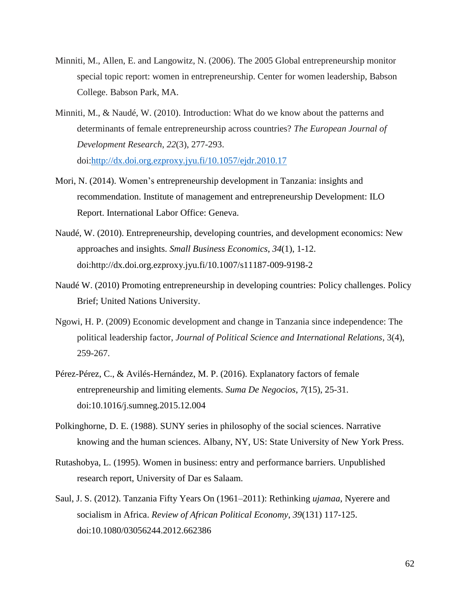- Minniti, M., Allen, E. and Langowitz, N. (2006). The 2005 Global entrepreneurship monitor special topic report: women in entrepreneurship. Center for women leadership, Babson College. Babson Park, MA.
- Minniti, M., & Naudé, W. (2010). Introduction: What do we know about the patterns and determinants of female entrepreneurship across countries? *The European Journal of Development Research*, *22*(3), 277-293. doi[:http://dx.doi.org.ezproxy.jyu.fi/10.1057/ejdr.2010.17](http://dx.doi.org.ezproxy.jyu.fi/10.1057/ejdr.2010.17)
- Mori, N. (2014). Women's entrepreneurship development in Tanzania: insights and recommendation. Institute of management and entrepreneurship Development: ILO Report. International Labor Office: Geneva.
- Naudé, W. (2010). Entrepreneurship, developing countries, and development economics: New approaches and insights. *Small Business Economics*, *34*(1), 1-12. doi:http://dx.doi.org.ezproxy.jyu.fi/10.1007/s11187-009-9198-2
- Naudé W. (2010) Promoting entrepreneurship in developing countries: Policy challenges. Policy Brief; United Nations University.
- Ngowi, H. P. (2009) Economic development and change in Tanzania since independence: The political leadership factor, *Journal of Political Science and International Relations*, 3(4), 259-267.
- Pérez-Pérez, C., & Avilés-Hernández, M. P. (2016). Explanatory factors of female entrepreneurship and limiting elements. *Suma De Negocios*, *7*(15), 25-31. doi:10.1016/j.sumneg.2015.12.004
- Polkinghorne, D. E. (1988). SUNY series in philosophy of the social sciences. Narrative knowing and the human sciences. Albany, NY, US: State University of New York Press.
- Rutashobya, L. (1995). Women in business: entry and performance barriers. Unpublished research report, University of Dar es Salaam.
- Saul, J. S. (2012). Tanzania Fifty Years On (1961–2011): Rethinking *ujamaa*, Nyerere and socialism in Africa. *Review of African Political Economy*, *39*(131) 117-125. doi:10.1080/03056244.2012.662386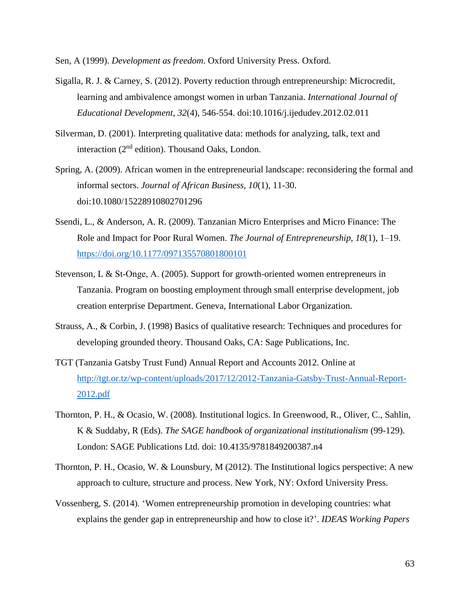Sen, A (1999). *Development as freedom*. Oxford University Press. Oxford.

- Sigalla, R. J. & Carney, S. (2012). Poverty reduction through entrepreneurship: Microcredit, learning and ambivalence amongst women in urban Tanzania. *International Journal of Educational Development*, *32*(4), 546-554. doi:10.1016/j.ijedudev.2012.02.011
- Silverman, D. (2001). Interpreting qualitative data: methods for analyzing, talk, text and interaction  $(2<sup>nd</sup>$  edition). Thousand Oaks, London.
- Spring, A. (2009). African women in the entrepreneurial landscape: reconsidering the formal and informal sectors. *Journal of African Business, 10*(1), 11-30. doi:10.1080/15228910802701296
- Ssendi, L., & Anderson, A. R. (2009). Tanzanian Micro Enterprises and Micro Finance: The Role and Impact for Poor Rural Women. *The Journal of Entrepreneurship, 18*(1), 1–19. <https://doi.org/10.1177/097135570801800101>
- Stevenson, L & St-Onge, A. (2005). Support for growth-oriented women entrepreneurs in Tanzania. Program on boosting employment through small enterprise development, job creation enterprise Department. Geneva, International Labor Organization.
- Strauss, A., & Corbin, J. (1998) Basics of qualitative research: Techniques and procedures for developing grounded theory. Thousand Oaks, CA: Sage Publications, Inc.
- TGT (Tanzania Gatsby Trust Fund) Annual Report and Accounts 2012. Online at [http://tgt.or.tz/wp-content/uploads/2017/12/2012-Tanzania-Gatsby-Trust-Annual-Report-](http://tgt.or.tz/wp-content/uploads/2017/12/2012-Tanzania-Gatsby-Trust-Annual-Report-2012.pdf)[2012.pdf](http://tgt.or.tz/wp-content/uploads/2017/12/2012-Tanzania-Gatsby-Trust-Annual-Report-2012.pdf)
- Thornton, P. H., & Ocasio, W. (2008). Institutional logics. In Greenwood, R., Oliver, C., Sahlin, K & Suddaby, R (Eds). *The SAGE handbook of organizational institutionalism* (99-129). London: SAGE Publications Ltd. doi: 10.4135/9781849200387.n4
- Thornton, P. H., Ocasio, W. & Lounsbury, M (2012). The Institutional logics perspective: A new approach to culture, structure and process. New York, NY: Oxford University Press.
- Vossenberg, S. (2014). 'Women entrepreneurship promotion in developing countries: what explains the gender gap in entrepreneurship and how to close it?'. *IDEAS Working Papers*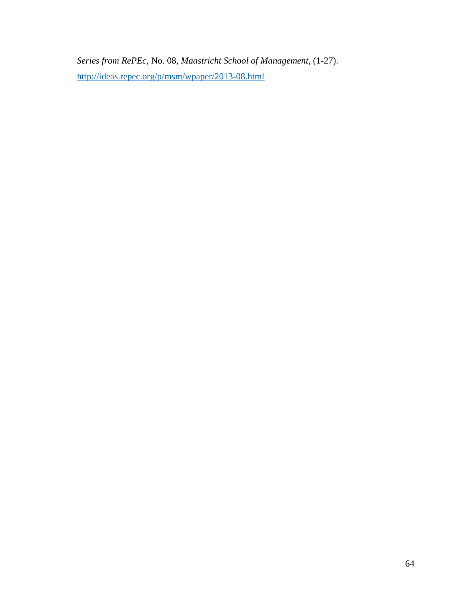*Series from RePEc*, No. 08, *Maastricht School of Management*, (1-27). <http://ideas.repec.org/p/msm/wpaper/2013-08.html>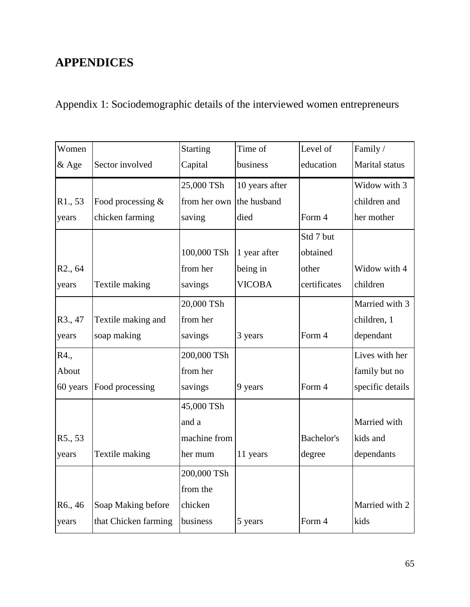# **APPENDICES**

Appendix 1: Sociodemographic details of the interviewed women entrepreneurs

| Women                |                      | <b>Starting</b>          | Time of        | Level of          | Family/          |
|----------------------|----------------------|--------------------------|----------------|-------------------|------------------|
| & Age                | Sector involved      | Capital                  | business       | education         | Marital status   |
|                      |                      | 25,000 TSh               | 10 years after |                   | Widow with 3     |
| R1., 53              | Food processing &    | from her own the husband |                |                   | children and     |
| years                | chicken farming      | saving                   | died           | Form 4            | her mother       |
|                      |                      |                          |                | Std 7 but         |                  |
|                      |                      | 100,000 TSh              | 1 year after   | obtained          |                  |
| R <sub>2</sub> ., 64 |                      | from her                 | being in       | other             | Widow with 4     |
| years                | Textile making       | savings                  | <b>VICOBA</b>  | certificates      | children         |
|                      |                      | 20,000 TSh               |                |                   | Married with 3   |
| R <sub>3</sub> ., 47 | Textile making and   | from her                 |                |                   | children, 1      |
| years                | soap making          | savings                  | 3 years        | Form 4            | dependant        |
| R4.,                 |                      | 200,000 TSh              |                |                   | Lives with her   |
| About                |                      | from her                 |                |                   | family but no    |
| 60 years             | Food processing      | savings                  | 9 years        | Form 4            | specific details |
|                      |                      | 45,000 TSh               |                |                   |                  |
|                      |                      | and a                    |                |                   | Married with     |
| R5., 53              |                      | machine from             |                | <b>Bachelor's</b> | kids and         |
| years                | Textile making       | her mum                  | 11 years       | degree            | dependants       |
|                      |                      | 200,000 TSh              |                |                   |                  |
|                      |                      | from the                 |                |                   |                  |
| R <sub>6</sub> ., 46 | Soap Making before   | chicken                  |                |                   | Married with 2   |
| years                | that Chicken farming | business                 | 5 years        | Form 4            | kids             |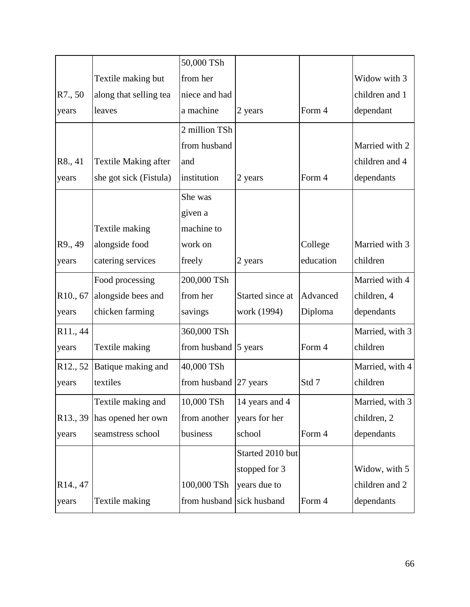|                                  |                             | 50,000 TSh                |                  |           |                 |
|----------------------------------|-----------------------------|---------------------------|------------------|-----------|-----------------|
|                                  | Textile making but          | from her                  |                  |           | Widow with 3    |
| R7., 50                          | along that selling tea      | niece and had             |                  |           | children and 1  |
| years                            | leaves                      | a machine                 | 2 years          | Form 4    | dependant       |
|                                  |                             | 2 million TSh             |                  |           |                 |
|                                  |                             | from husband              |                  |           | Married with 2  |
| R8., 41                          | <b>Textile Making after</b> | and                       |                  |           | children and 4  |
| years                            | she got sick (Fistula)      | institution               | 2 years          | Form 4    | dependants      |
|                                  |                             | She was                   |                  |           |                 |
|                                  |                             | given a                   |                  |           |                 |
|                                  | Textile making              | machine to                |                  |           |                 |
| R9., 49                          | alongside food              | work on                   |                  | College   | Married with 3  |
| years                            | catering services           | freely                    | 2 years          | education | children        |
|                                  | Food processing             | 200,000 TSh               |                  |           | Married with 4  |
| R <sub>10</sub> ., 67            | alongside bees and          | from her                  | Started since at | Advanced  | children, 4     |
| years                            | chicken farming             | savings                   | work (1994)      | Diploma   | dependants      |
| R <sub>11</sub> , 44             |                             | 360,000 TSh               |                  |           | Married, with 3 |
| years                            | Textile making              | from husband 5 years      |                  | Form 4    | children        |
| R <sub>12</sub> , 5 <sub>2</sub> | Batique making and          | 40,000 TSh                |                  |           | Married, with 4 |
| years                            | textiles                    | from husband 27 years     |                  | Std 7     | children        |
|                                  | Textile making and          | 10,000 TSh                | 14 years and 4   |           | Married, with 3 |
| R <sub>13</sub> , 39             | has opened her own          | from another              | years for her    |           | children, 2     |
| years                            | seamstress school           | business                  | school           | Form 4    | dependants      |
|                                  |                             |                           | Started 2010 but |           |                 |
|                                  |                             |                           | stopped for 3    |           | Widow, with 5   |
| R14., 47                         |                             | 100,000 TSh               | years due to     |           | children and 2  |
| years                            | Textile making              | from husband sick husband |                  | Form 4    | dependants      |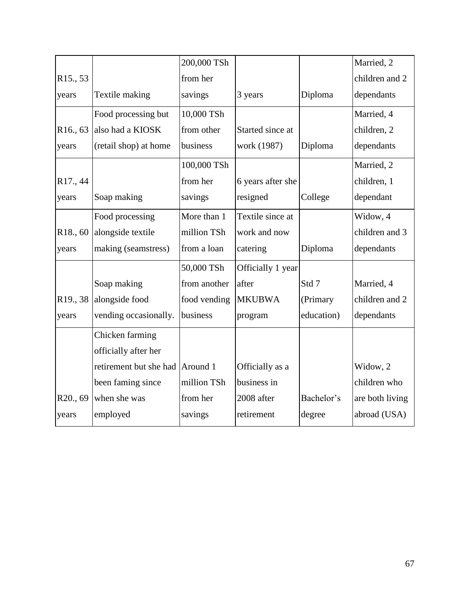|                      |                                 | 200,000 TSh  |                   |            | Married, 2      |
|----------------------|---------------------------------|--------------|-------------------|------------|-----------------|
| R <sub>15</sub> , 53 |                                 | from her     |                   |            | children and 2  |
| years                | Textile making                  | savings      | 3 years           | Diploma    | dependants      |
|                      | Food processing but             | 10,000 TSh   |                   |            | Married, 4      |
| R <sub>16</sub> , 63 | also had a KIOSK                | from other   | Started since at  |            | children, 2     |
| years                | (retail shop) at home           | business     | work (1987)       | Diploma    | dependants      |
|                      |                                 | 100,000 TSh  |                   |            | Married, 2      |
| R17., 44             |                                 | from her     | 6 years after she |            | children, 1     |
| years                | Soap making                     | savings      | resigned          | College    | dependant       |
|                      | Food processing                 | More than 1  | Textile since at  |            | Widow, 4        |
| R <sub>18</sub> , 60 | alongside textile               | million TSh  | work and now      |            | children and 3  |
| years                | making (seamstress)             | from a loan  | catering          | Diploma    | dependants      |
|                      |                                 | 50,000 TSh   | Officially 1 year |            |                 |
|                      | Soap making                     | from another | after             | Std 7      | Married, 4      |
| R <sub>19</sub> , 38 | alongside food                  | food vending | <b>MKUBWA</b>     | (Primary   | children and 2  |
| years                | vending occasionally.           | business     | program           | education) | dependants      |
|                      | Chicken farming                 |              |                   |            |                 |
|                      | officially after her            |              |                   |            |                 |
|                      | retirement but she had Around 1 |              | Officially as a   |            | Widow, 2        |
|                      | been faming since               | million TSh  | business in       |            | children who    |
| R20., 69             | when she was                    | from her     | 2008 after        | Bachelor's | are both living |
| years                | employed                        | savings      | retirement        | degree     | abroad (USA)    |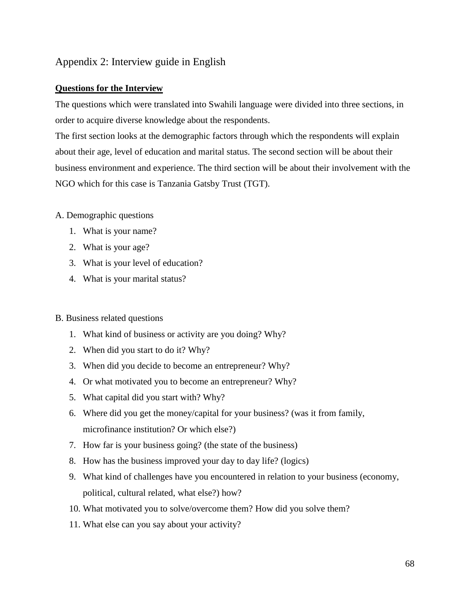# Appendix 2: Interview guide in English

## **Questions for the Interview**

The questions which were translated into Swahili language were divided into three sections, in order to acquire diverse knowledge about the respondents.

The first section looks at the demographic factors through which the respondents will explain about their age, level of education and marital status. The second section will be about their business environment and experience. The third section will be about their involvement with the NGO which for this case is Tanzania Gatsby Trust (TGT).

## A. Demographic questions

- 1. What is your name?
- 2. What is your age?
- 3. What is your level of education?
- 4. What is your marital status?

### B. Business related questions

- 1. What kind of business or activity are you doing? Why?
- 2. When did you start to do it? Why?
- 3. When did you decide to become an entrepreneur? Why?
- 4. Or what motivated you to become an entrepreneur? Why?
- 5. What capital did you start with? Why?
- 6. Where did you get the money/capital for your business? (was it from family, microfinance institution? Or which else?)
- 7. How far is your business going? (the state of the business)
- 8. How has the business improved your day to day life? (logics)
- 9. What kind of challenges have you encountered in relation to your business (economy, political, cultural related, what else?) how?
- 10. What motivated you to solve/overcome them? How did you solve them?
- 11. What else can you say about your activity?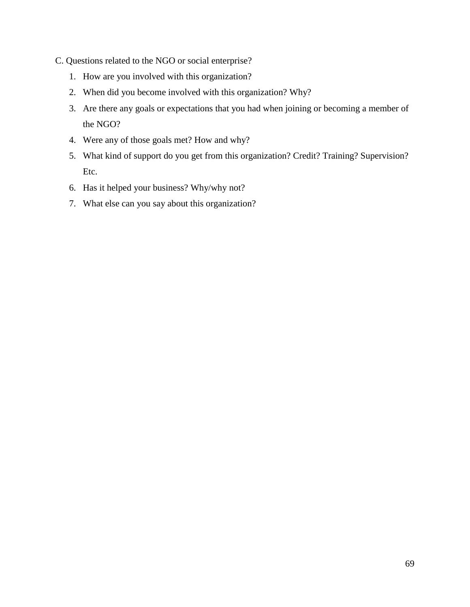- C. Questions related to the NGO or social enterprise?
	- 1. How are you involved with this organization?
	- 2. When did you become involved with this organization? Why?
	- 3. Are there any goals or expectations that you had when joining or becoming a member of the NGO?
	- 4. Were any of those goals met? How and why?
	- 5. What kind of support do you get from this organization? Credit? Training? Supervision? Etc.
	- 6. Has it helped your business? Why/why not?
	- 7. What else can you say about this organization?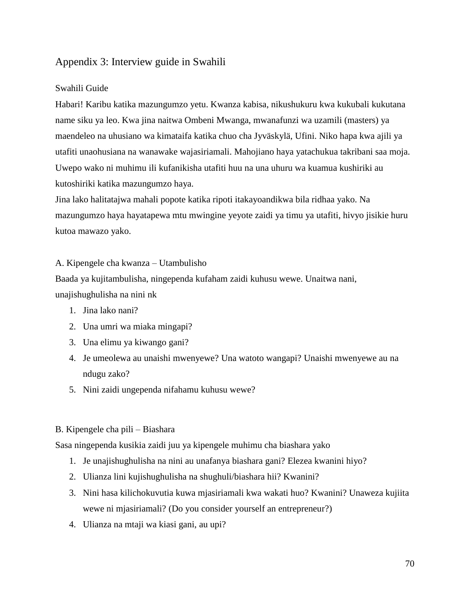## Appendix 3: Interview guide in Swahili

### Swahili Guide

Habari! Karibu katika mazungumzo yetu. Kwanza kabisa, nikushukuru kwa kukubali kukutana name siku ya leo. Kwa jina naitwa Ombeni Mwanga, mwanafunzi wa uzamili (masters) ya maendeleo na uhusiano wa kimataifa katika chuo cha Jyväskylä, Ufini. Niko hapa kwa ajili ya utafiti unaohusiana na wanawake wajasiriamali. Mahojiano haya yatachukua takribani saa moja. Uwepo wako ni muhimu ili kufanikisha utafiti huu na una uhuru wa kuamua kushiriki au kutoshiriki katika mazungumzo haya.

Jina lako halitatajwa mahali popote katika ripoti itakayoandikwa bila ridhaa yako. Na mazungumzo haya hayatapewa mtu mwingine yeyote zaidi ya timu ya utafiti, hivyo jisikie huru kutoa mawazo yako.

### A. Kipengele cha kwanza – Utambulisho

Baada ya kujitambulisha, ningependa kufaham zaidi kuhusu wewe. Unaitwa nani, unajishughulisha na nini nk

- 1. Jina lako nani?
- 2. Una umri wa miaka mingapi?
- 3. Una elimu ya kiwango gani?
- 4. Je umeolewa au unaishi mwenyewe? Una watoto wangapi? Unaishi mwenyewe au na ndugu zako?
- 5. Nini zaidi ungependa nifahamu kuhusu wewe?

#### B. Kipengele cha pili – Biashara

Sasa ningependa kusikia zaidi juu ya kipengele muhimu cha biashara yako

- 1. Je unajishughulisha na nini au unafanya biashara gani? Elezea kwanini hiyo?
- 2. Ulianza lini kujishughulisha na shughuli/biashara hii? Kwanini?
- 3. Nini hasa kilichokuvutia kuwa mjasiriamali kwa wakati huo? Kwanini? Unaweza kujiita wewe ni mjasiriamali? (Do you consider yourself an entrepreneur?)
- 4. Ulianza na mtaji wa kiasi gani, au upi?